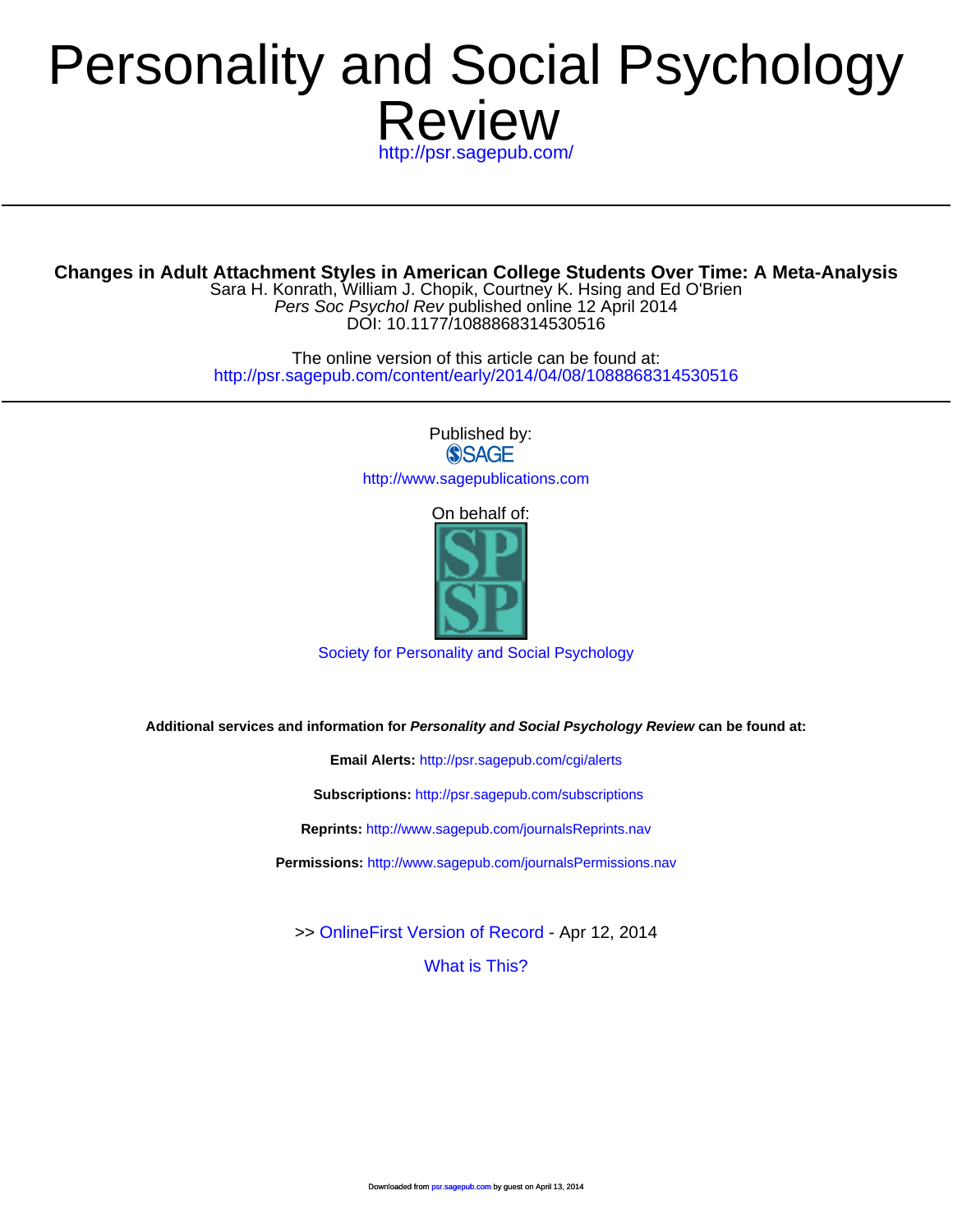# Review Personalit[y and Social P](http://www.spsp.org/)sychology

<http://psr.sagepub.com/>

**Changes in Adult Attachment Styles in A[merican College Studen](http://psr.sagepub.com/cgi/alerts)ts Over Time: A Meta-Analysis**

DOI: 10.1177/1088868314530516 Pers Soc Psychol Rev published online 12 April 2014 Sara H. Konrath, William J. Chopik, Courtney K. Hsing and Ed O'Brien

<http://psr.sagepub.com/content/early/2014/04/08/1088868314530516> The online versi[on of this article can be found a](http://psr.sagepub.com/subscriptions)t:

> Published by:<br>
> SAGE <http://www.sagepublications.com>

> > On behalf of:



[Society for Personality and Social Psychology](http://www.spsp.org/)

**Additional services and information for Personality and Social Psychology Review can be found at:**

**Email Alerts:** <http://psr.sagepub.com/cgi/alerts>

**Subscriptions:** <http://psr.sagepub.com/subscriptions>

**Reprints:** <http://www.sagepub.com/journalsReprints.nav>

**Permissions:** <http://www.sagepub.com/journalsPermissions.nav>

[What is This?](http://online.sagepub.com/site/sphelp/vorhelp.xhtml) >> [OnlineFirst Version of Record -](http://psr.sagepub.com/content/early/2014/04/08/1088868314530516.full.pdf) Apr 12, 2014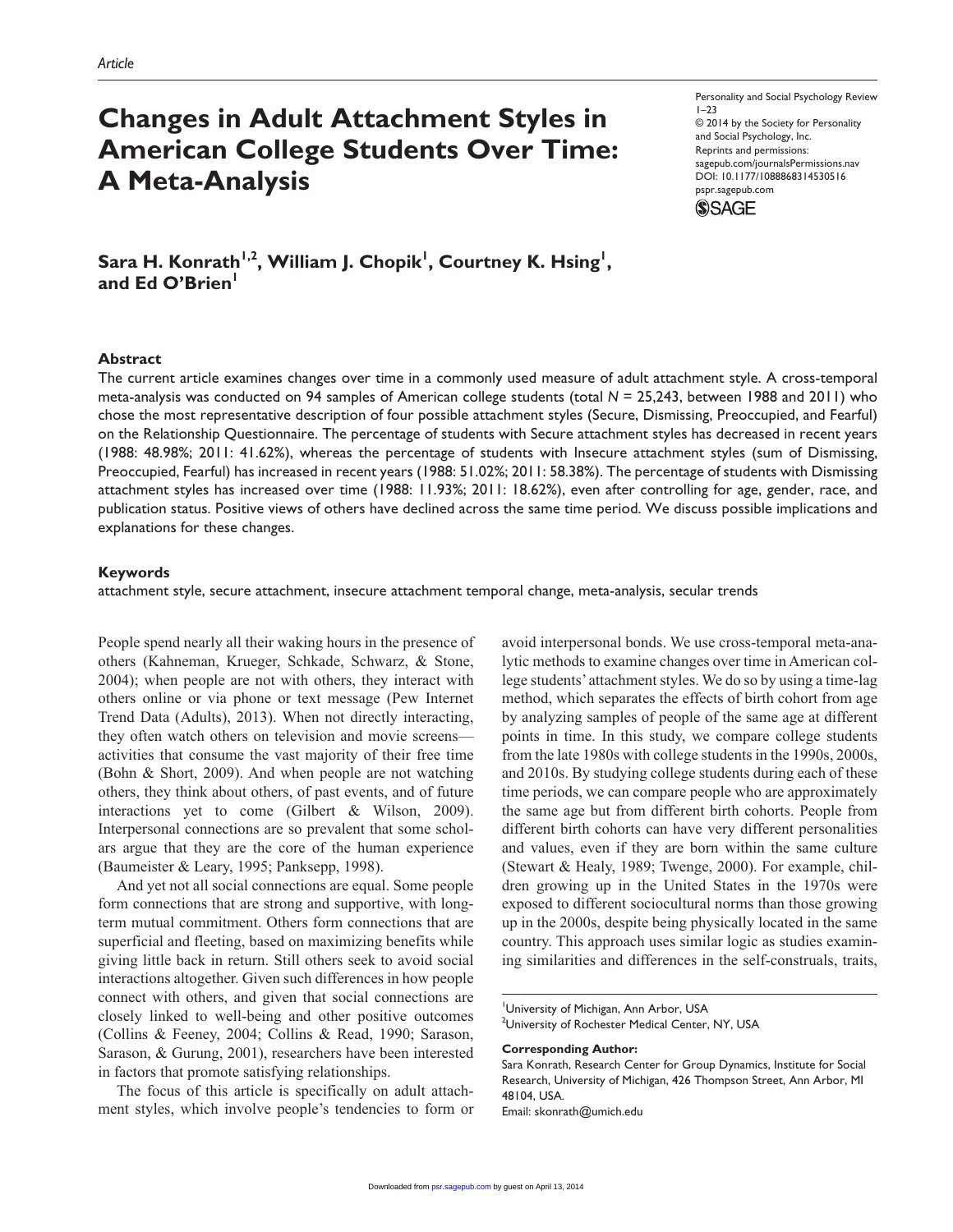# **Changes in Adult Attachment Styles in American College Students Over Time: A Meta-Analysis**

Personality and Social Psychology Review 1–23 © 2014 by the Society for Personality and Social Psychology, Inc. Reprints and permissions: sagepub.com/journalsPermissions.nav DOI: 10.1177/1088868314530516 pspr.sagepub.com **SSAGE** 

 $\mathsf{Sara}\ \mathsf{H.\ Konrath}^{\mathsf{I},\mathsf{2}},$  William J. Chopik<sup>1</sup>, Courtney K. Hsing<sup>1</sup>, and Ed O'Brien<sup>1</sup>

#### **Abstract**

The current article examines changes over time in a commonly used measure of adult attachment style. A cross-temporal meta-analysis was conducted on 94 samples of American college students (total *N* = 25,243, between 1988 and 2011) who chose the most representative description of four possible attachment styles (Secure, Dismissing, Preoccupied, and Fearful) on the Relationship Questionnaire. The percentage of students with Secure attachment styles has decreased in recent years (1988: 48.98%; 2011: 41.62%), whereas the percentage of students with Insecure attachment styles (sum of Dismissing, Preoccupied, Fearful) has increased in recent years (1988: 51.02%; 2011: 58.38%). The percentage of students with Dismissing attachment styles has increased over time (1988: 11.93%; 2011: 18.62%), even after controlling for age, gender, race, and publication status. Positive views of others have declined across the same time period. We discuss possible implications and explanations for these changes.

#### **Keywords**

attachment style, secure attachment, insecure attachment temporal change, meta-analysis, secular trends

People spend nearly all their waking hours in the presence of others (Kahneman, Krueger, Schkade, Schwarz, & Stone, 2004); when people are not with others, they interact with others online or via phone or text message (Pew Internet Trend Data (Adults), 2013). When not directly interacting, they often watch others on television and movie screens activities that consume the vast majority of their free time (Bohn & Short, 2009). And when people are not watching others, they think about others, of past events, and of future interactions yet to come (Gilbert & Wilson, 2009). Interpersonal connections are so prevalent that some scholars argue that they are the core of the human experience (Baumeister & Leary, 1995; Panksepp, 1998).

And yet not all social connections are equal. Some people form connections that are strong and supportive, with longterm mutual commitment. Others form connections that are superficial and fleeting, based on maximizing benefits while giving little back in return. Still others seek to avoid social interactions altogether. Given such differences in how people connect with others, and given that social connections are closely linked to well-being and other positive outcomes (Collins & Feeney, 2004; Collins & Read, 1990; Sarason, Sarason, & Gurung, 2001), researchers have been interested in factors that promote satisfying relationships.

The focus of this article is specifically on adult attachment styles, which involve people's tendencies to form or avoid interpersonal bonds. We use cross-temporal meta-analytic methods to examine changes over time in American college students' attachment styles. We do so by using a time-lag method, which separates the effects of birth cohort from age by analyzing samples of people of the same age at different points in time. In this study, we compare college students from the late 1980s with college students in the 1990s, 2000s, and 2010s. By studying college students during each of these time periods, we can compare people who are approximately the same age but from different birth cohorts. People from different birth cohorts can have very different personalities and values, even if they are born within the same culture (Stewart & Healy, 1989; Twenge, 2000). For example, children growing up in the United States in the 1970s were exposed to different sociocultural norms than those growing up in the 2000s, despite being physically located in the same country. This approach uses similar logic as studies examining similarities and differences in the self-construals, traits,

**Corresponding Author:**

Email: [skonrath@umich.edu](mailto:skonrath@umich.edu)

University of Michigan, Ann Arbor, USA

<sup>&</sup>lt;sup>2</sup>University of Rochester Medical Center, NY, USA

Sara Konrath, Research Center for Group Dynamics, Institute for Social Research, University of Michigan, 426 Thompson Street, Ann Arbor, MI 48104, USA.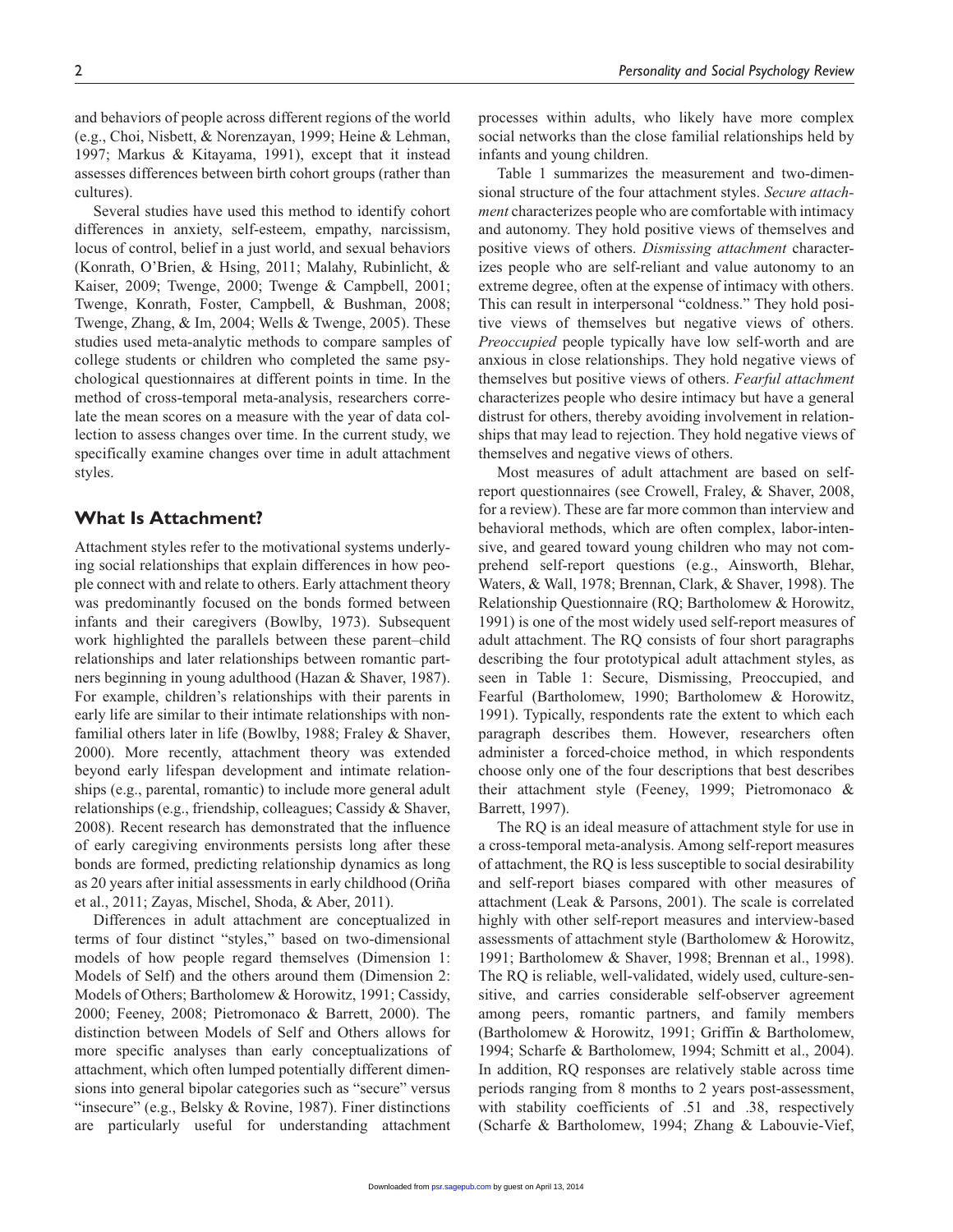and behaviors of people across different regions of the world (e.g., Choi, Nisbett, & Norenzayan, 1999; Heine & Lehman, 1997; Markus & Kitayama, 1991), except that it instead assesses differences between birth cohort groups (rather than cultures).

Several studies have used this method to identify cohort differences in anxiety, self-esteem, empathy, narcissism, locus of control, belief in a just world, and sexual behaviors (Konrath, O'Brien, & Hsing, 2011; Malahy, Rubinlicht, & Kaiser, 2009; Twenge, 2000; Twenge & Campbell, 2001; Twenge, Konrath, Foster, Campbell, & Bushman, 2008; Twenge, Zhang, & Im, 2004; Wells & Twenge, 2005). These studies used meta-analytic methods to compare samples of college students or children who completed the same psychological questionnaires at different points in time. In the method of cross-temporal meta-analysis, researchers correlate the mean scores on a measure with the year of data collection to assess changes over time. In the current study, we specifically examine changes over time in adult attachment styles.

# **What Is Attachment?**

Attachment styles refer to the motivational systems underlying social relationships that explain differences in how people connect with and relate to others. Early attachment theory was predominantly focused on the bonds formed between infants and their caregivers (Bowlby, 1973). Subsequent work highlighted the parallels between these parent–child relationships and later relationships between romantic partners beginning in young adulthood (Hazan & Shaver, 1987). For example, children's relationships with their parents in early life are similar to their intimate relationships with nonfamilial others later in life (Bowlby, 1988; Fraley & Shaver, 2000). More recently, attachment theory was extended beyond early lifespan development and intimate relationships (e.g., parental, romantic) to include more general adult relationships (e.g., friendship, colleagues; Cassidy & Shaver, 2008). Recent research has demonstrated that the influence of early caregiving environments persists long after these bonds are formed, predicting relationship dynamics as long as 20 years after initial assessments in early childhood (Oriña et al., 2011; Zayas, Mischel, Shoda, & Aber, 2011).

Differences in adult attachment are conceptualized in terms of four distinct "styles," based on two-dimensional models of how people regard themselves (Dimension 1: Models of Self) and the others around them (Dimension 2: Models of Others; Bartholomew & Horowitz, 1991; Cassidy, 2000; Feeney, 2008; Pietromonaco & Barrett, 2000). The distinction between Models of Self and Others allows for more specific analyses than early conceptualizations of attachment, which often lumped potentially different dimensions into general bipolar categories such as "secure" versus "insecure" (e.g., Belsky & Rovine, 1987). Finer distinctions are particularly useful for understanding attachment

processes within adults, who likely have more complex social networks than the close familial relationships held by infants and young children.

Table 1 summarizes the measurement and two-dimensional structure of the four attachment styles. *Secure attachment* characterizes people who are comfortable with intimacy and autonomy. They hold positive views of themselves and positive views of others. *Dismissing attachment* characterizes people who are self-reliant and value autonomy to an extreme degree, often at the expense of intimacy with others. This can result in interpersonal "coldness." They hold positive views of themselves but negative views of others. *Preoccupied* people typically have low self-worth and are anxious in close relationships. They hold negative views of themselves but positive views of others. *Fearful attachment* characterizes people who desire intimacy but have a general distrust for others, thereby avoiding involvement in relationships that may lead to rejection. They hold negative views of themselves and negative views of others.

Most measures of adult attachment are based on selfreport questionnaires (see Crowell, Fraley, & Shaver, 2008, for a review). These are far more common than interview and behavioral methods, which are often complex, labor-intensive, and geared toward young children who may not comprehend self-report questions (e.g., Ainsworth, Blehar, Waters, & Wall, 1978; Brennan, Clark, & Shaver, 1998). The Relationship Questionnaire (RQ; Bartholomew & Horowitz, 1991) is one of the most widely used self-report measures of adult attachment. The RQ consists of four short paragraphs describing the four prototypical adult attachment styles, as seen in Table 1: Secure, Dismissing, Preoccupied, and Fearful (Bartholomew, 1990; Bartholomew & Horowitz, 1991). Typically, respondents rate the extent to which each paragraph describes them. However, researchers often administer a forced-choice method, in which respondents choose only one of the four descriptions that best describes their attachment style (Feeney, 1999; Pietromonaco & Barrett, 1997).

The RQ is an ideal measure of attachment style for use in a cross-temporal meta-analysis. Among self-report measures of attachment, the RQ is less susceptible to social desirability and self-report biases compared with other measures of attachment (Leak & Parsons, 2001). The scale is correlated highly with other self-report measures and interview-based assessments of attachment style (Bartholomew & Horowitz, 1991; Bartholomew & Shaver, 1998; Brennan et al., 1998). The RQ is reliable, well-validated, widely used, culture-sensitive, and carries considerable self-observer agreement among peers, romantic partners, and family members (Bartholomew & Horowitz, 1991; Griffin & Bartholomew, 1994; Scharfe & Bartholomew, 1994; Schmitt et al., 2004). In addition, RQ responses are relatively stable across time periods ranging from 8 months to 2 years post-assessment, with stability coefficients of .51 and .38, respectively (Scharfe [& Bartholo](http://psr.sagepub.com/)mew, 1994; Zhang & Labouvie-Vief,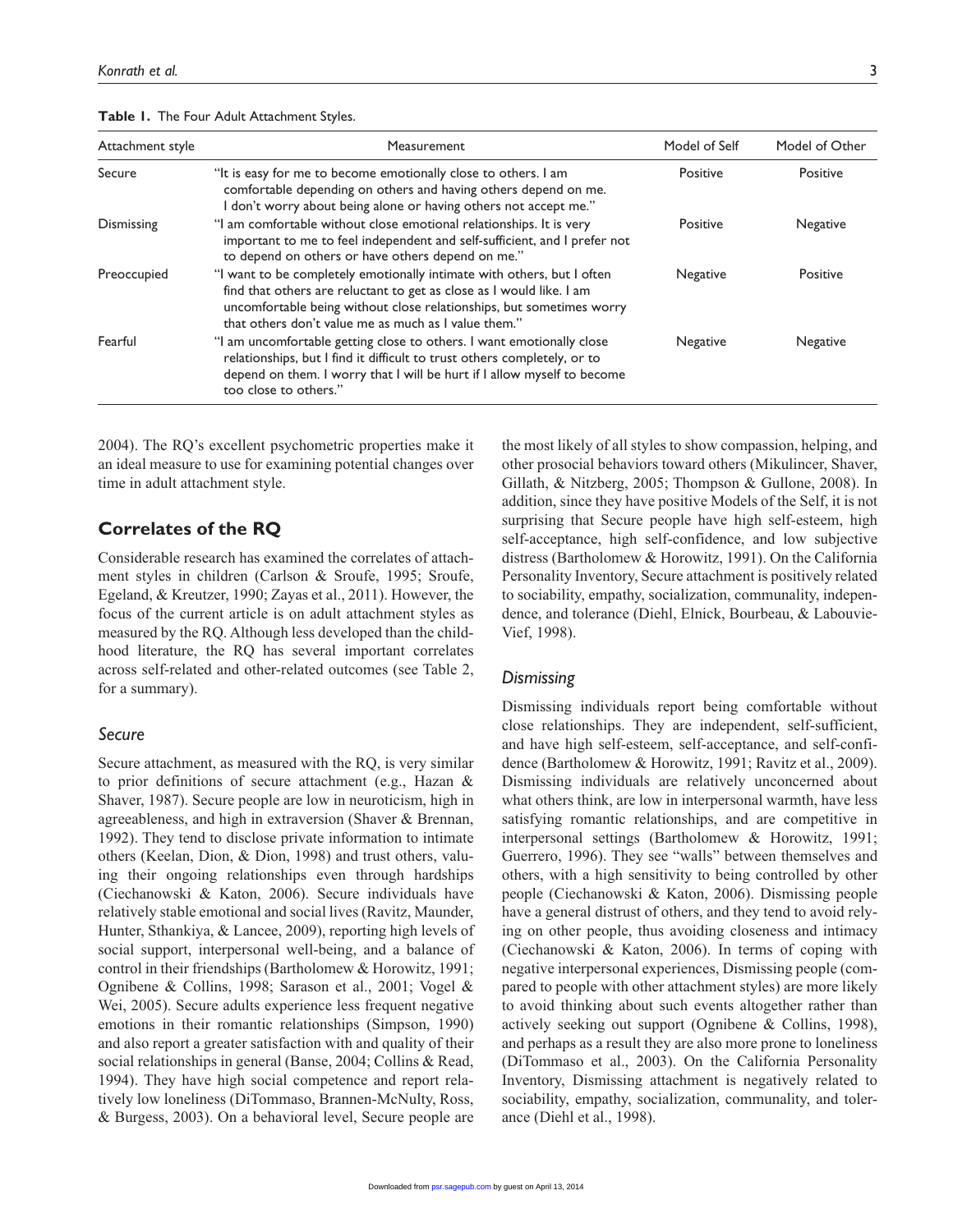|  |  |  |  | Table I. The Four Adult Attachment Styles. |  |
|--|--|--|--|--------------------------------------------|--|
|--|--|--|--|--------------------------------------------|--|

| Attachment style | <b>Measurement</b>                                                                                                                                                                                                                                                             | Model of Self | Model of Other |
|------------------|--------------------------------------------------------------------------------------------------------------------------------------------------------------------------------------------------------------------------------------------------------------------------------|---------------|----------------|
| Secure           | "It is easy for me to become emotionally close to others. I am<br>comfortable depending on others and having others depend on me.<br>don't worry about being alone or having others not accept me."                                                                            | Positive      | Positive       |
| Dismissing       | "I am comfortable without close emotional relationships. It is very<br>important to me to feel independent and self-sufficient, and I prefer not<br>to depend on others or have others depend on me."                                                                          | Positive      | Negative       |
| Preoccupied      | "I want to be completely emotionally intimate with others, but I often<br>find that others are reluctant to get as close as I would like. I am<br>uncomfortable being without close relationships, but sometimes worry<br>that others don't value me as much as I value them." | Negative      | Positive       |
| Fearful          | "I am uncomfortable getting close to others. I want emotionally close<br>relationships, but I find it difficult to trust others completely, or to<br>depend on them. I worry that I will be hurt if I allow myself to become<br>too close to others."                          | Negative      | Negative       |

2004). The RQ's excellent psychometric properties make it an ideal measure to use for examining potential changes over time in adult attachment style.

# **Correlates of the RQ**

Considerable research has examined the correlates of attachment styles in children (Carlson & Sroufe, 1995; Sroufe, Egeland, & Kreutzer, 1990; Zayas et al., 2011). However, the focus of the current article is on adult attachment styles as measured by the RQ. Although less developed than the childhood literature, the RQ has several important correlates across self-related and other-related outcomes (see Table 2, for a summary).

#### *Secure*

Secure attachment, as measured with the RQ, is very similar to prior definitions of secure attachment (e.g., Hazan & Shaver, 1987). Secure people are low in neuroticism, high in agreeableness, and high in extraversion (Shaver & Brennan, 1992). They tend to disclose private information to intimate others (Keelan, Dion, & Dion, 1998) and trust others, valuing their ongoing relationships even through hardships (Ciechanowski & Katon, 2006). Secure individuals have relatively stable emotional and social lives (Ravitz, Maunder, Hunter, Sthankiya, & Lancee, 2009), reporting high levels of social support, interpersonal well-being, and a balance of control in their friendships (Bartholomew & Horowitz, 1991; Ognibene & Collins, 1998; Sarason et al., 2001; Vogel & Wei, 2005). Secure adults experience less frequent negative emotions in their romantic relationships (Simpson, 1990) and also report a greater satisfaction with and quality of their social relationships in general (Banse, 2004; Collins & Read, 1994). They have high social competence and report relatively low loneliness (DiTommaso, Brannen-McNulty, Ross, & Burgess, 2003). On a behavioral level, Secure people are

the most likely of all styles to show compassion, helping, and other prosocial behaviors toward others (Mikulincer, Shaver, Gillath, & Nitzberg, 2005; Thompson & Gullone, 2008). In addition, since they have positive Models of the Self, it is not surprising that Secure people have high self-esteem, high self-acceptance, high self-confidence, and low subjective distress (Bartholomew & Horowitz, 1991). On the California Personality Inventory, Secure attachment is positively related to sociability, empathy, socialization, communality, independence, and tolerance (Diehl, Elnick, Bourbeau, & Labouvie-Vief, 1998).

#### *Dismissing*

Dismissing individuals report being comfortable without close relationships. They are independent, self-sufficient, and have high self-esteem, self-acceptance, and self-confidence (Bartholomew & Horowitz, 1991; Ravitz et al., 2009). Dismissing individuals are relatively unconcerned about what others think, are low in interpersonal warmth, have less satisfying romantic relationships, and are competitive in interpersonal settings (Bartholomew & Horowitz, 1991; Guerrero, 1996). They see "walls" between themselves and others, with a high sensitivity to being controlled by other people (Ciechanowski & Katon, 2006). Dismissing people have a general distrust of others, and they tend to avoid relying on other people, thus avoiding closeness and intimacy (Ciechanowski & Katon, 2006). In terms of coping with negative interpersonal experiences, Dismissing people (compared to people with other attachment styles) are more likely to avoid thinking about such events altogether rather than actively seeking out support (Ognibene & Collins, 1998), and perhaps as a result they are also more prone to loneliness (DiTommaso et al., 2003). On the California Personality Inventory, Dismissing attachment is negatively related to sociability, empathy, socialization, communality, and tolerance (Diehl et al., 1998).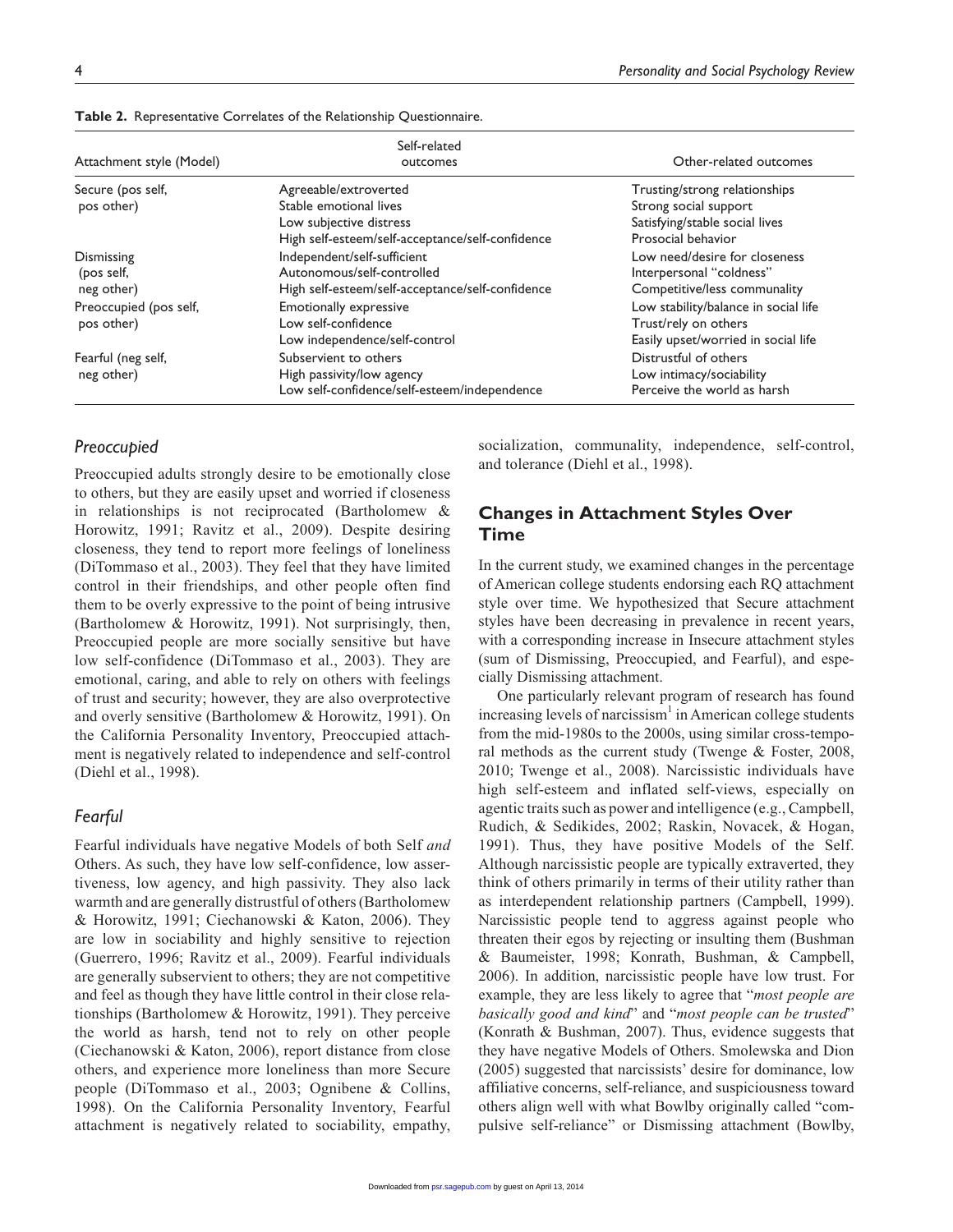| Attachment style (Model) | Self-related<br>outcomes                         | Other-related outcomes               |  |  |
|--------------------------|--------------------------------------------------|--------------------------------------|--|--|
| Secure (pos self,        | Agreeable/extroverted                            | Trusting/strong relationships        |  |  |
| pos other)               | Stable emotional lives                           | Strong social support                |  |  |
|                          | Low subjective distress                          | Satisfying/stable social lives       |  |  |
|                          | High self-esteem/self-acceptance/self-confidence | Prosocial behavior                   |  |  |
| Dismissing               | Independent/self-sufficient                      | Low need/desire for closeness        |  |  |
| (pos self,               | Autonomous/self-controlled                       | Interpersonal "coldness"             |  |  |
| neg other)               | High self-esteem/self-acceptance/self-confidence | Competitive/less communality         |  |  |
| Preoccupied (pos self,   | Emotionally expressive                           | Low stability/balance in social life |  |  |
| pos other)               | Low self-confidence                              | Trust/rely on others                 |  |  |
|                          | Low independence/self-control                    | Easily upset/worried in social life  |  |  |
| Fearful (neg self,       | Subservient to others                            | Distrustful of others                |  |  |
| neg other)               | High passivity/low agency                        | Low intimacy/sociability             |  |  |
|                          | Low self-confidence/self-esteem/independence     | Perceive the world as harsh          |  |  |

**Table 2.** Representative Correlates of the Relationship Questionnaire.

#### *Preoccupied*

Preoccupied adults strongly desire to be emotionally close to others, but they are easily upset and worried if closeness in relationships is not reciprocated (Bartholomew & Horowitz, 1991; Ravitz et al., 2009). Despite desiring closeness, they tend to report more feelings of loneliness (DiTommaso et al., 2003). They feel that they have limited control in their friendships, and other people often find them to be overly expressive to the point of being intrusive (Bartholomew & Horowitz, 1991). Not surprisingly, then, Preoccupied people are more socially sensitive but have low self-confidence (DiTommaso et al., 2003). They are emotional, caring, and able to rely on others with feelings of trust and security; however, they are also overprotective and overly sensitive (Bartholomew & Horowitz, 1991). On the California Personality Inventory, Preoccupied attachment is negatively related to independence and self-control (Diehl et al., 1998).

#### *Fearful*

Fearful individuals have negative Models of both Self *and* Others. As such, they have low self-confidence, low assertiveness, low agency, and high passivity. They also lack warmth and are generally distrustful of others (Bartholomew & Horowitz, 1991; Ciechanowski & Katon, 2006). They are low in sociability and highly sensitive to rejection (Guerrero, 1996; Ravitz et al., 2009). Fearful individuals are generally subservient to others; they are not competitive and feel as though they have little control in their close relationships (Bartholomew & Horowitz, 1991). They perceive the world as harsh, tend not to rely on other people (Ciechanowski & Katon, 2006), report distance from close others, and experience more loneliness than more Secure people (DiTommaso et al., 2003; Ognibene & Collins, 1998). On the California Personality Inventory, Fearful attachment is negatively related to sociability, empathy,

socialization, communality, independence, self-control, and tolerance (Diehl et al., 1998).

# **Changes in Attachment Styles Over Time**

In the current study, we examined changes in the percentage of American college students endorsing each RQ attachment style over time. We hypothesized that Secure attachment styles have been decreasing in prevalence in recent years, with a corresponding increase in Insecure attachment styles (sum of Dismissing, Preoccupied, and Fearful), and especially Dismissing attachment.

One particularly relevant program of research has found increasing levels of narcissism<sup>1</sup> in American college students from the mid-1980s to the 2000s, using similar cross-temporal methods as the current study (Twenge & Foster, 2008, 2010; Twenge et al., 2008). Narcissistic individuals have high self-esteem and inflated self-views, especially on agentic traits such as power and intelligence (e.g., Campbell, Rudich, & Sedikides, 2002; Raskin, Novacek, & Hogan, 1991). Thus, they have positive Models of the Self. Although narcissistic people are typically extraverted, they think of others primarily in terms of their utility rather than as interdependent relationship partners (Campbell, 1999). Narcissistic people tend to aggress against people who threaten their egos by rejecting or insulting them (Bushman & Baumeister, 1998; Konrath, Bushman, & Campbell, 2006). In addition, narcissistic people have low trust. For example, they are less likely to agree that "*most people are basically good and kind*" and "*most people can be trusted*" (Konrath & Bushman, 2007). Thus, evidence suggests that they have negative Models of Others. Smolewska and Dion (2005) suggested that narcissists' desire for dominance, low affiliative concerns, self-reliance, and suspiciousness toward others align well with what Bowlby originally called "compulsive s[elf-reliance](http://psr.sagepub.com/)" or Dismissing attachment (Bowlby,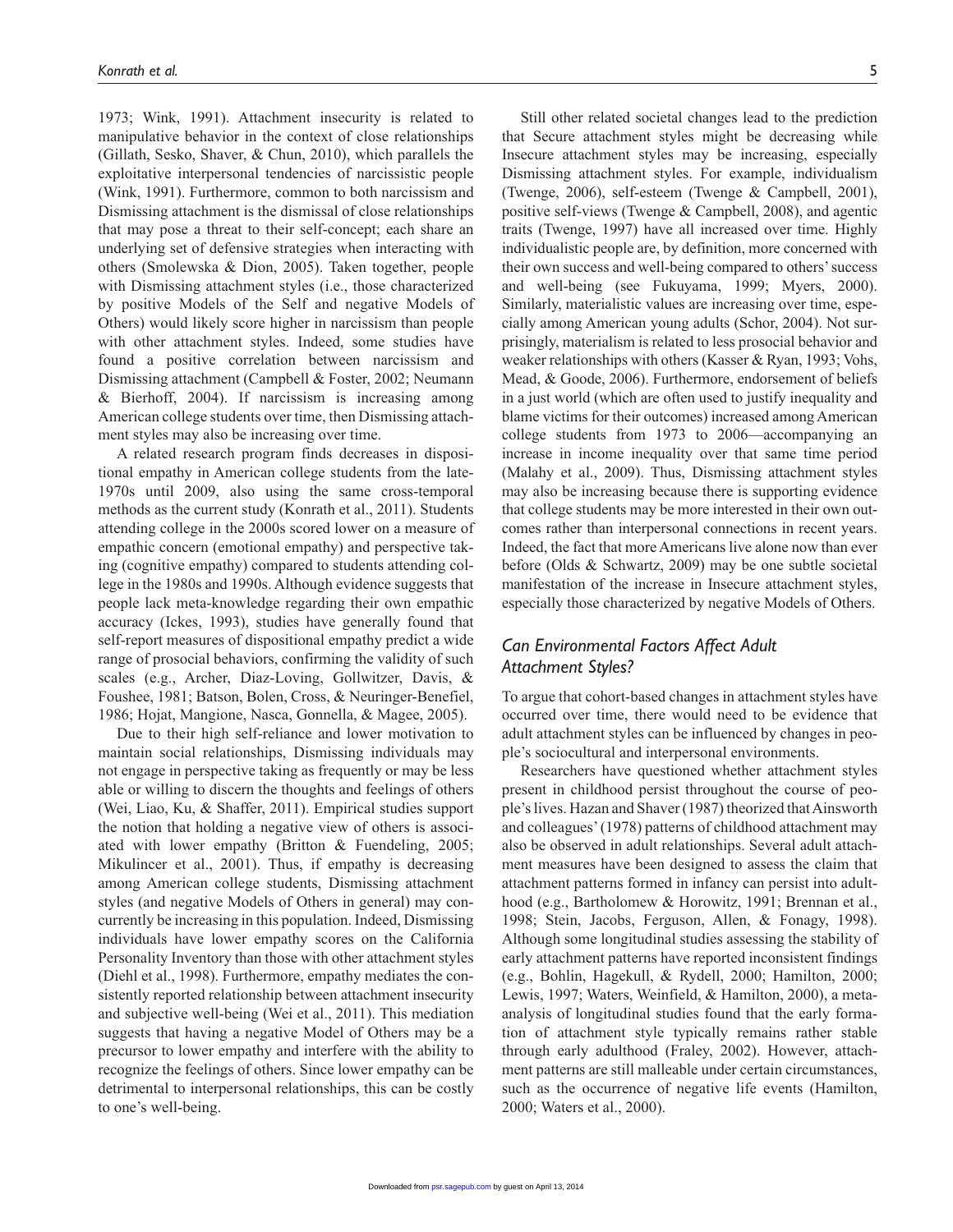1973; Wink, 1991). Attachment insecurity is related to manipulative behavior in the context of close relationships (Gillath, Sesko, Shaver, & Chun, 2010), which parallels the exploitative interpersonal tendencies of narcissistic people (Wink, 1991). Furthermore, common to both narcissism and Dismissing attachment is the dismissal of close relationships that may pose a threat to their self-concept; each share an underlying set of defensive strategies when interacting with others (Smolewska & Dion, 2005). Taken together, people with Dismissing attachment styles (i.e., those characterized by positive Models of the Self and negative Models of Others) would likely score higher in narcissism than people with other attachment styles. Indeed, some studies have found a positive correlation between narcissism and Dismissing attachment (Campbell & Foster, 2002; Neumann & Bierhoff, 2004). If narcissism is increasing among American college students over time, then Dismissing attachment styles may also be increasing over time.

A related research program finds decreases in dispositional empathy in American college students from the late-1970s until 2009, also using the same cross-temporal methods as the current study (Konrath et al., 2011). Students attending college in the 2000s scored lower on a measure of empathic concern (emotional empathy) and perspective taking (cognitive empathy) compared to students attending college in the 1980s and 1990s. Although evidence suggests that people lack meta-knowledge regarding their own empathic accuracy (Ickes, 1993), studies have generally found that self-report measures of dispositional empathy predict a wide range of prosocial behaviors, confirming the validity of such scales (e.g., Archer, Diaz-Loving, Gollwitzer, Davis, & Foushee, 1981; Batson, Bolen, Cross, & Neuringer-Benefiel, 1986; Hojat, Mangione, Nasca, Gonnella, & Magee, 2005).

Due to their high self-reliance and lower motivation to maintain social relationships, Dismissing individuals may not engage in perspective taking as frequently or may be less able or willing to discern the thoughts and feelings of others (Wei, Liao, Ku, & Shaffer, 2011). Empirical studies support the notion that holding a negative view of others is associated with lower empathy (Britton & Fuendeling, 2005; Mikulincer et al., 2001). Thus, if empathy is decreasing among American college students, Dismissing attachment styles (and negative Models of Others in general) may concurrently be increasing in this population. Indeed, Dismissing individuals have lower empathy scores on the California Personality Inventory than those with other attachment styles (Diehl et al., 1998). Furthermore, empathy mediates the consistently reported relationship between attachment insecurity and subjective well-being (Wei et al., 2011). This mediation suggests that having a negative Model of Others may be a precursor to lower empathy and interfere with the ability to recognize the feelings of others. Since lower empathy can be detrimental to interpersonal relationships, this can be costly to one's well-being.

Still other related societal changes lead to the prediction that Secure attachment styles might be decreasing while Insecure attachment styles may be increasing, especially Dismissing attachment styles. For example, individualism (Twenge, 2006), self-esteem (Twenge & Campbell, 2001), positive self-views (Twenge & Campbell, 2008), and agentic traits (Twenge, 1997) have all increased over time. Highly individualistic people are, by definition, more concerned with their own success and well-being compared to others' success and well-being (see Fukuyama, 1999; Myers, 2000). Similarly, materialistic values are increasing over time, especially among American young adults (Schor, 2004). Not surprisingly, materialism is related to less prosocial behavior and weaker relationships with others (Kasser & Ryan, 1993; Vohs, Mead, & Goode, 2006). Furthermore, endorsement of beliefs in a just world (which are often used to justify inequality and blame victims for their outcomes) increased among American college students from 1973 to 2006—accompanying an increase in income inequality over that same time period (Malahy et al., 2009). Thus, Dismissing attachment styles may also be increasing because there is supporting evidence that college students may be more interested in their own outcomes rather than interpersonal connections in recent years. Indeed, the fact that more Americans live alone now than ever before (Olds & Schwartz, 2009) may be one subtle societal manifestation of the increase in Insecure attachment styles, especially those characterized by negative Models of Others.

# *Can Environmental Factors Affect Adult Attachment Styles?*

To argue that cohort-based changes in attachment styles have occurred over time, there would need to be evidence that adult attachment styles can be influenced by changes in people's sociocultural and interpersonal environments.

Researchers have questioned whether attachment styles present in childhood persist throughout the course of people's lives. Hazan and Shaver (1987) theorized that Ainsworth and colleagues' (1978) patterns of childhood attachment may also be observed in adult relationships. Several adult attachment measures have been designed to assess the claim that attachment patterns formed in infancy can persist into adulthood (e.g., Bartholomew & Horowitz, 1991; Brennan et al., 1998; Stein, Jacobs, Ferguson, Allen, & Fonagy, 1998). Although some longitudinal studies assessing the stability of early attachment patterns have reported inconsistent findings (e.g., Bohlin, Hagekull, & Rydell, 2000; Hamilton, 2000; Lewis, 1997; Waters, Weinfield, & Hamilton, 2000), a metaanalysis of longitudinal studies found that the early formation of attachment style typically remains rather stable through early adulthood (Fraley, 2002). However, attachment patterns are still malleable under certain circumstances, such as the occurrence of negative life events (Hamilton, 2000; Waters et al., 2000).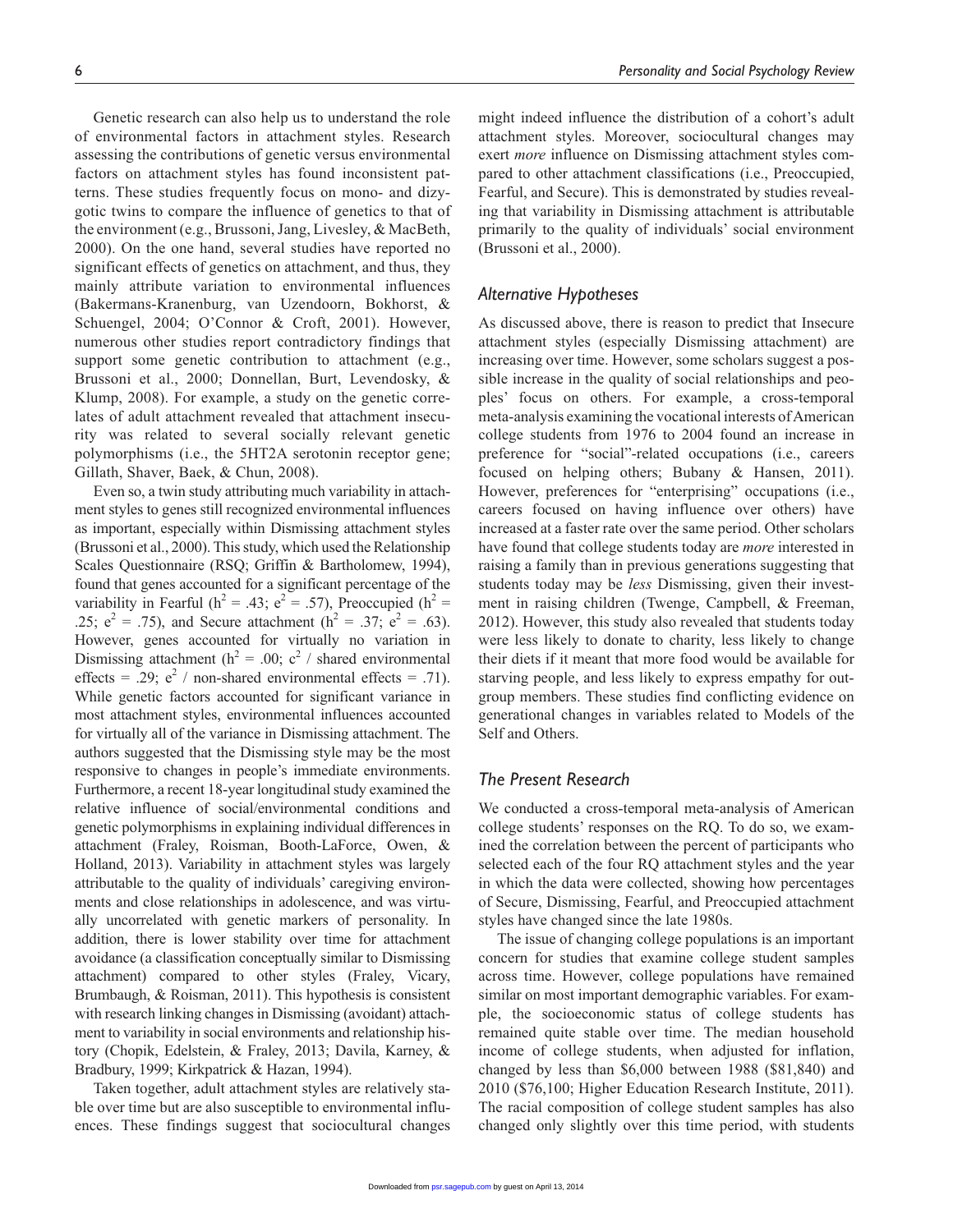Genetic research can also help us to understand the role of environmental factors in attachment styles. Research assessing the contributions of genetic versus environmental factors on attachment styles has found inconsistent patterns. These studies frequently focus on mono- and dizygotic twins to compare the influence of genetics to that of the environment (e.g., Brussoni, Jang, Livesley, & MacBeth, 2000). On the one hand, several studies have reported no significant effects of genetics on attachment, and thus, they mainly attribute variation to environmental influences (Bakermans-Kranenburg, van Uzendoorn, Bokhorst, & Schuengel, 2004; O'Connor & Croft, 2001). However, numerous other studies report contradictory findings that support some genetic contribution to attachment (e.g., Brussoni et al., 2000; Donnellan, Burt, Levendosky, & Klump, 2008). For example, a study on the genetic correlates of adult attachment revealed that attachment insecurity was related to several socially relevant genetic polymorphisms (i.e., the 5HT2A serotonin receptor gene; Gillath, Shaver, Baek, & Chun, 2008).

Even so, a twin study attributing much variability in attachment styles to genes still recognized environmental influences as important, especially within Dismissing attachment styles (Brussoni et al., 2000). This study, which used the Relationship Scales Questionnaire (RSQ; Griffin & Bartholomew, 1994), found that genes accounted for a significant percentage of the variability in Fearful ( $h^2 = .43$ ;  $e^2 = .57$ ), Preoccupied ( $h^2 =$ .25;  $e^2 = .75$ ), and Secure attachment ( $h^2 = .37$ ;  $e^2 = .63$ ). However, genes accounted for virtually no variation in Dismissing attachment ( $h^2 = .00$ ;  $c^2$  / shared environmental effects = .29;  $e^2$  / non-shared environmental effects = .71). While genetic factors accounted for significant variance in most attachment styles, environmental influences accounted for virtually all of the variance in Dismissing attachment. The authors suggested that the Dismissing style may be the most responsive to changes in people's immediate environments. Furthermore, a recent 18-year longitudinal study examined the relative influence of social/environmental conditions and genetic polymorphisms in explaining individual differences in attachment (Fraley, Roisman, Booth-LaForce, Owen, & Holland, 2013). Variability in attachment styles was largely attributable to the quality of individuals' caregiving environments and close relationships in adolescence, and was virtually uncorrelated with genetic markers of personality. In addition, there is lower stability over time for attachment avoidance (a classification conceptually similar to Dismissing attachment) compared to other styles (Fraley, Vicary, Brumbaugh, & Roisman, 2011). This hypothesis is consistent with research linking changes in Dismissing (avoidant) attachment to variability in social environments and relationship history (Chopik, Edelstein, & Fraley, 2013; Davila, Karney, & Bradbury, 1999; Kirkpatrick & Hazan, 1994).

Taken together, adult attachment styles are relatively stable over time but are also susceptible to environmental influences. These findings suggest that sociocultural changes

might indeed influence the distribution of a cohort's adult attachment styles. Moreover, sociocultural changes may exert *more* influence on Dismissing attachment styles compared to other attachment classifications (i.e., Preoccupied, Fearful, and Secure). This is demonstrated by studies revealing that variability in Dismissing attachment is attributable primarily to the quality of individuals' social environment (Brussoni et al., 2000).

#### *Alternative Hypotheses*

As discussed above, there is reason to predict that Insecure attachment styles (especially Dismissing attachment) are increasing over time. However, some scholars suggest a possible increase in the quality of social relationships and peoples' focus on others. For example, a cross-temporal meta-analysis examining the vocational interests of American college students from 1976 to 2004 found an increase in preference for "social"-related occupations (i.e., careers focused on helping others; Bubany & Hansen, 2011). However, preferences for "enterprising" occupations (i.e., careers focused on having influence over others) have increased at a faster rate over the same period. Other scholars have found that college students today are *more* interested in raising a family than in previous generations suggesting that students today may be *less* Dismissing, given their investment in raising children (Twenge, Campbell, & Freeman, 2012). However, this study also revealed that students today were less likely to donate to charity, less likely to change their diets if it meant that more food would be available for starving people, and less likely to express empathy for outgroup members. These studies find conflicting evidence on generational changes in variables related to Models of the Self and Others.

#### *The Present Research*

We conducted a cross-temporal meta-analysis of American college students' responses on the RQ. To do so, we examined the correlation between the percent of participants who selected each of the four RQ attachment styles and the year in which the data were collected, showing how percentages of Secure, Dismissing, Fearful, and Preoccupied attachment styles have changed since the late 1980s.

The issue of changing college populations is an important concern for studies that examine college student samples across time. However, college populations have remained similar on most important demographic variables. For example, the socioeconomic status of college students has remained quite stable over time. The median household income of college students, when adjusted for inflation, changed by less than \$6,000 between 1988 (\$81,840) and 2010 (\$76,100; Higher Education Research Institute, 2011). The racial composition of college student samples has also changed [only slightl](http://psr.sagepub.com/)y over this time period, with students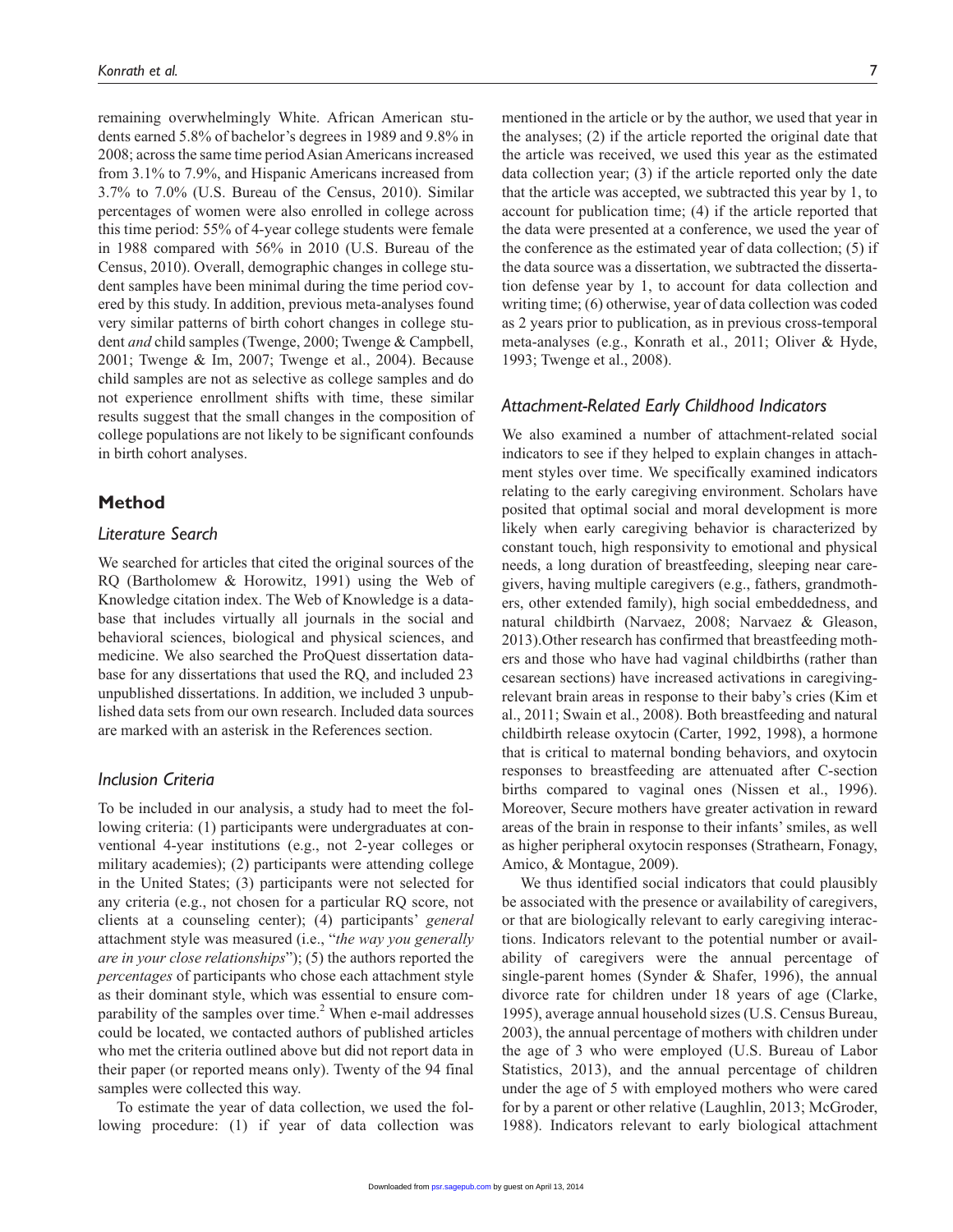remaining overwhelmingly White. African American students earned 5.8% of bachelor's degrees in 1989 and 9.8% in 2008; across the same time period Asian Americans increased from 3.1% to 7.9%, and Hispanic Americans increased from 3.7% to 7.0% (U.S. Bureau of the Census, 2010). Similar percentages of women were also enrolled in college across this time period: 55% of 4-year college students were female in 1988 compared with 56% in 2010 (U.S. Bureau of the Census, 2010). Overall, demographic changes in college student samples have been minimal during the time period covered by this study. In addition, previous meta-analyses found very similar patterns of birth cohort changes in college student *and* child samples (Twenge, 2000; Twenge & Campbell, 2001; Twenge & Im, 2007; Twenge et al., 2004). Because child samples are not as selective as college samples and do not experience enrollment shifts with time, these similar results suggest that the small changes in the composition of college populations are not likely to be significant confounds in birth cohort analyses.

#### **Method**

#### *Literature Search*

We searched for articles that cited the original sources of the RQ (Bartholomew & Horowitz, 1991) using the Web of Knowledge citation index. The Web of Knowledge is a database that includes virtually all journals in the social and behavioral sciences, biological and physical sciences, and medicine. We also searched the ProQuest dissertation database for any dissertations that used the RQ, and included 23 unpublished dissertations. In addition, we included 3 unpublished data sets from our own research. Included data sources are marked with an asterisk in the References section.

#### *Inclusion Criteria*

To be included in our analysis, a study had to meet the following criteria: (1) participants were undergraduates at conventional 4-year institutions (e.g., not 2-year colleges or military academies); (2) participants were attending college in the United States; (3) participants were not selected for any criteria (e.g., not chosen for a particular RQ score, not clients at a counseling center); (4) participants' *general* attachment style was measured (i.e., "*the way you generally are in your close relationships*"); (5) the authors reported the *percentages* of participants who chose each attachment style as their dominant style, which was essential to ensure comparability of the samples over time.<sup>2</sup> When e-mail addresses could be located, we contacted authors of published articles who met the criteria outlined above but did not report data in their paper (or reported means only). Twenty of the 94 final samples were collected this way.

To estimate the year of data collection, we used the following procedure: (1) if year of data collection was

mentioned in the article or by the author, we used that year in the analyses; (2) if the article reported the original date that the article was received, we used this year as the estimated data collection year; (3) if the article reported only the date that the article was accepted, we subtracted this year by 1, to account for publication time; (4) if the article reported that the data were presented at a conference, we used the year of the conference as the estimated year of data collection; (5) if the data source was a dissertation, we subtracted the dissertation defense year by 1, to account for data collection and writing time; (6) otherwise, year of data collection was coded as 2 years prior to publication, as in previous cross-temporal meta-analyses (e.g., Konrath et al., 2011; Oliver & Hyde, 1993; Twenge et al., 2008).

#### *Attachment-Related Early Childhood Indicators*

We also examined a number of attachment-related social indicators to see if they helped to explain changes in attachment styles over time. We specifically examined indicators relating to the early caregiving environment. Scholars have posited that optimal social and moral development is more likely when early caregiving behavior is characterized by constant touch, high responsivity to emotional and physical needs, a long duration of breastfeeding, sleeping near caregivers, having multiple caregivers (e.g., fathers, grandmothers, other extended family), high social embeddedness, and natural childbirth (Narvaez, 2008; Narvaez & Gleason, 2013).Other research has confirmed that breastfeeding mothers and those who have had vaginal childbirths (rather than cesarean sections) have increased activations in caregivingrelevant brain areas in response to their baby's cries (Kim et al., 2011; Swain et al., 2008). Both breastfeeding and natural childbirth release oxytocin (Carter, 1992, 1998), a hormone that is critical to maternal bonding behaviors, and oxytocin responses to breastfeeding are attenuated after C-section births compared to vaginal ones (Nissen et al., 1996). Moreover, Secure mothers have greater activation in reward areas of the brain in response to their infants' smiles, as well as higher peripheral oxytocin responses (Strathearn, Fonagy, Amico, & Montague, 2009).

We thus identified social indicators that could plausibly be associated with the presence or availability of caregivers, or that are biologically relevant to early caregiving interactions. Indicators relevant to the potential number or availability of caregivers were the annual percentage of single-parent homes (Synder & Shafer, 1996), the annual divorce rate for children under 18 years of age (Clarke, 1995), average annual household sizes (U.S. Census Bureau, 2003), the annual percentage of mothers with children under the age of 3 who were employed (U.S. Bureau of Labor Statistics, 2013), and the annual percentage of children under the age of 5 with employed mothers who were cared for by a parent or other relative (Laughlin, 2013; McGroder, 1988)[. Indicator](http://psr.sagepub.com/)s relevant to early biological attachment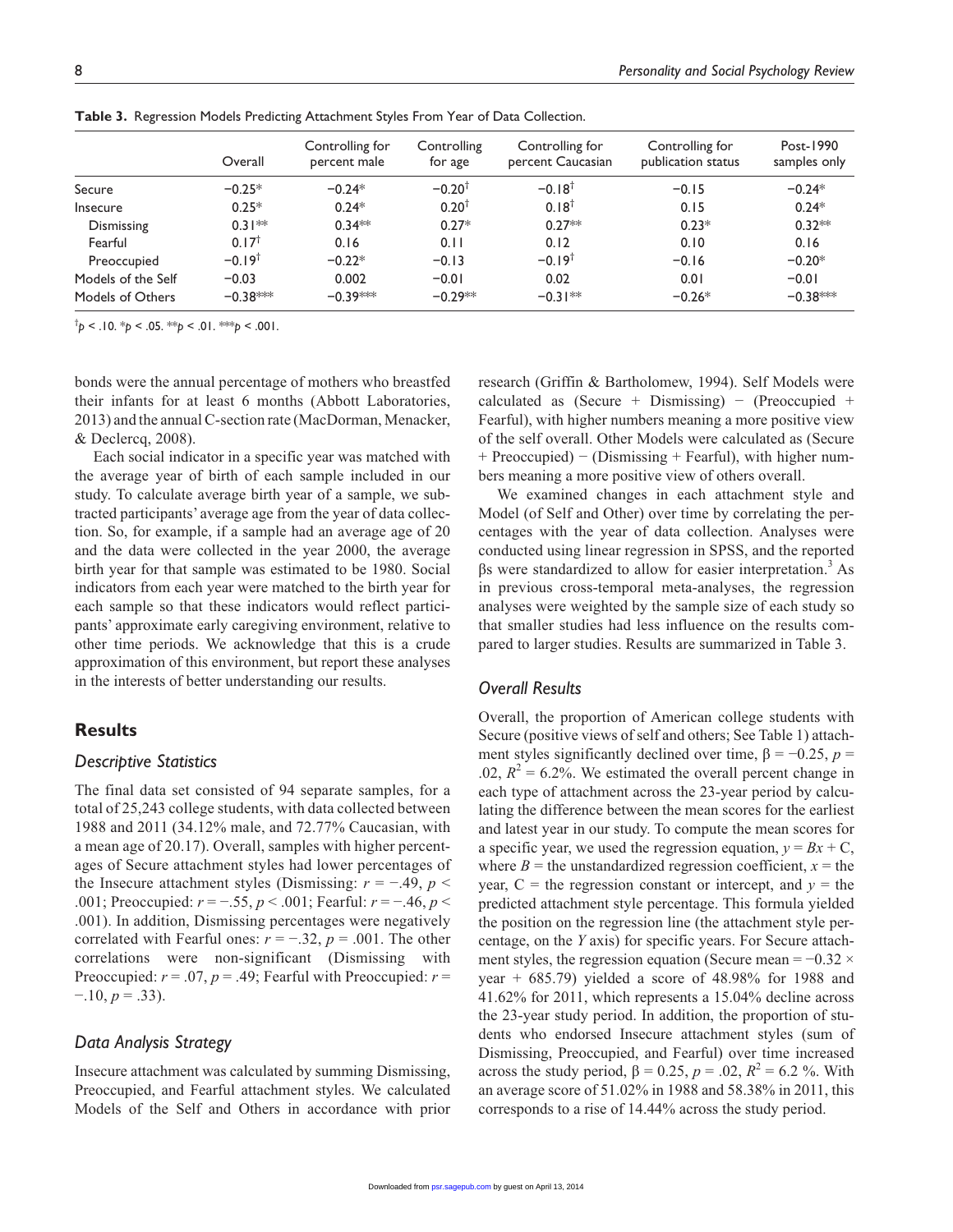|                    | Overall              | Controlling for<br>percent male | Controlling<br>for age | Controlling for<br>percent Caucasian | Controlling for<br>publication status | Post-1990<br>samples only |
|--------------------|----------------------|---------------------------------|------------------------|--------------------------------------|---------------------------------------|---------------------------|
| Secure             | $-0.25*$             | $-0.24*$                        | $-0.20^{\dagger}$      | $-0.18$ <sup>t</sup>                 | $-0.15$                               | $-0.24*$                  |
| <b>Insecure</b>    | $0.25*$              | $0.24*$                         | $0.20^{+}$             | $0.18^{\dagger}$                     | 0.15                                  | $0.24*$                   |
| Dismissing         | $0.31**$             | $0.34***$                       | $0.27*$                | $0.27**$                             | $0.23*$                               | $0.32**$                  |
| Fearful            | $0.17^{\dagger}$     | 0.16                            | 0.11                   | 0.12                                 | 0.10                                  | 0.16                      |
| Preoccupied        | $-0.19$ <sup>t</sup> | $-0.22*$                        | $-0.13$                | $-0.19$ <sup>t</sup>                 | $-0.16$                               | $-0.20*$                  |
| Models of the Self | $-0.03$              | 0.002                           | $-0.01$                | 0.02                                 | 0.01                                  | $-0.01$                   |
| Models of Others   | $-0.38***$           | $-0.39***$                      | $-0.29**$              | $-0.31**$                            | $-0.26*$                              | $-0.38***$                |

**Table 3.** Regression Models Predicting Attachment Styles From Year of Data Collection.

 $\phi^{\dagger}$ *p* < .10. \**p* < .05. \*\**p* < .01. \*\*\**p* < .001.

bonds were the annual percentage of mothers who breastfed their infants for at least 6 months (Abbott Laboratories, 2013) and the annual C-section rate (MacDorman, Menacker, & Declercq, 2008).

Each social indicator in a specific year was matched with the average year of birth of each sample included in our study. To calculate average birth year of a sample, we subtracted participants' average age from the year of data collection. So, for example, if a sample had an average age of 20 and the data were collected in the year 2000, the average birth year for that sample was estimated to be 1980. Social indicators from each year were matched to the birth year for each sample so that these indicators would reflect participants' approximate early caregiving environment, relative to other time periods. We acknowledge that this is a crude approximation of this environment, but report these analyses in the interests of better understanding our results.

# **Results**

#### *Descriptive Statistics*

The final data set consisted of 94 separate samples, for a total of 25,243 college students, with data collected between 1988 and 2011 (34.12% male, and 72.77% Caucasian, with a mean age of 20.17). Overall, samples with higher percentages of Secure attachment styles had lower percentages of the Insecure attachment styles (Dismissing:  $r = -0.49$ ,  $p <$ .001; Preoccupied: *r* = −.55, *p* < .001; Fearful: *r* = −.46, *p* < .001). In addition, Dismissing percentages were negatively correlated with Fearful ones:  $r = -.32$ ,  $p = .001$ . The other correlations were non-significant (Dismissing with Preoccupied:  $r = .07$ ,  $p = .49$ ; Fearful with Preoccupied:  $r =$  $-10, p = 0.33$ .

#### *Data Analysis Strategy*

Insecure attachment was calculated by summing Dismissing, Preoccupied, and Fearful attachment styles. We calculated Models of the Self and Others in accordance with prior

research (Griffin & Bartholomew, 1994). Self Models were calculated as (Secure + Dismissing) – (Preoccupied + Fearful), with higher numbers meaning a more positive view of the self overall. Other Models were calculated as (Secure + Preoccupied) − (Dismissing + Fearful), with higher numbers meaning a more positive view of others overall.

We examined changes in each attachment style and Model (of Self and Other) over time by correlating the percentages with the year of data collection. Analyses were conducted using linear regression in SPSS, and the reported  $βs$  were standardized to allow for easier interpretation.<sup>3</sup> As in previous cross-temporal meta-analyses, the regression analyses were weighted by the sample size of each study so that smaller studies had less influence on the results compared to larger studies. Results are summarized in Table 3.

#### *Overall Results*

Overall, the proportion of American college students with Secure (positive views of self and others; See Table 1) attachment styles significantly declined over time,  $\beta = -0.25$ ,  $p =$ .02,  $R^2 = 6.2\%$ . We estimated the overall percent change in each type of attachment across the 23-year period by calculating the difference between the mean scores for the earliest and latest year in our study. To compute the mean scores for a specific year, we used the regression equation,  $y = Bx + C$ , where  $B =$  the unstandardized regression coefficient,  $x =$  the year,  $C =$  the regression constant or intercept, and  $y =$  the predicted attachment style percentage. This formula yielded the position on the regression line (the attachment style percentage, on the *Y* axis) for specific years. For Secure attachment styles, the regression equation (Secure mean =  $-0.32 \times$ year + 685.79) yielded a score of 48.98% for 1988 and 41.62% for 2011, which represents a 15.04% decline across the 23-year study period. In addition, the proportion of students who endorsed Insecure attachment styles (sum of Dismissing, Preoccupied, and Fearful) over time increased across the study period,  $β = 0.25, p = .02, R^2 = 6.2 %$ . With an average score of 51.02% in 1988 and 58.38% in 2011, this corresponds to a rise of 14.44% across the study period.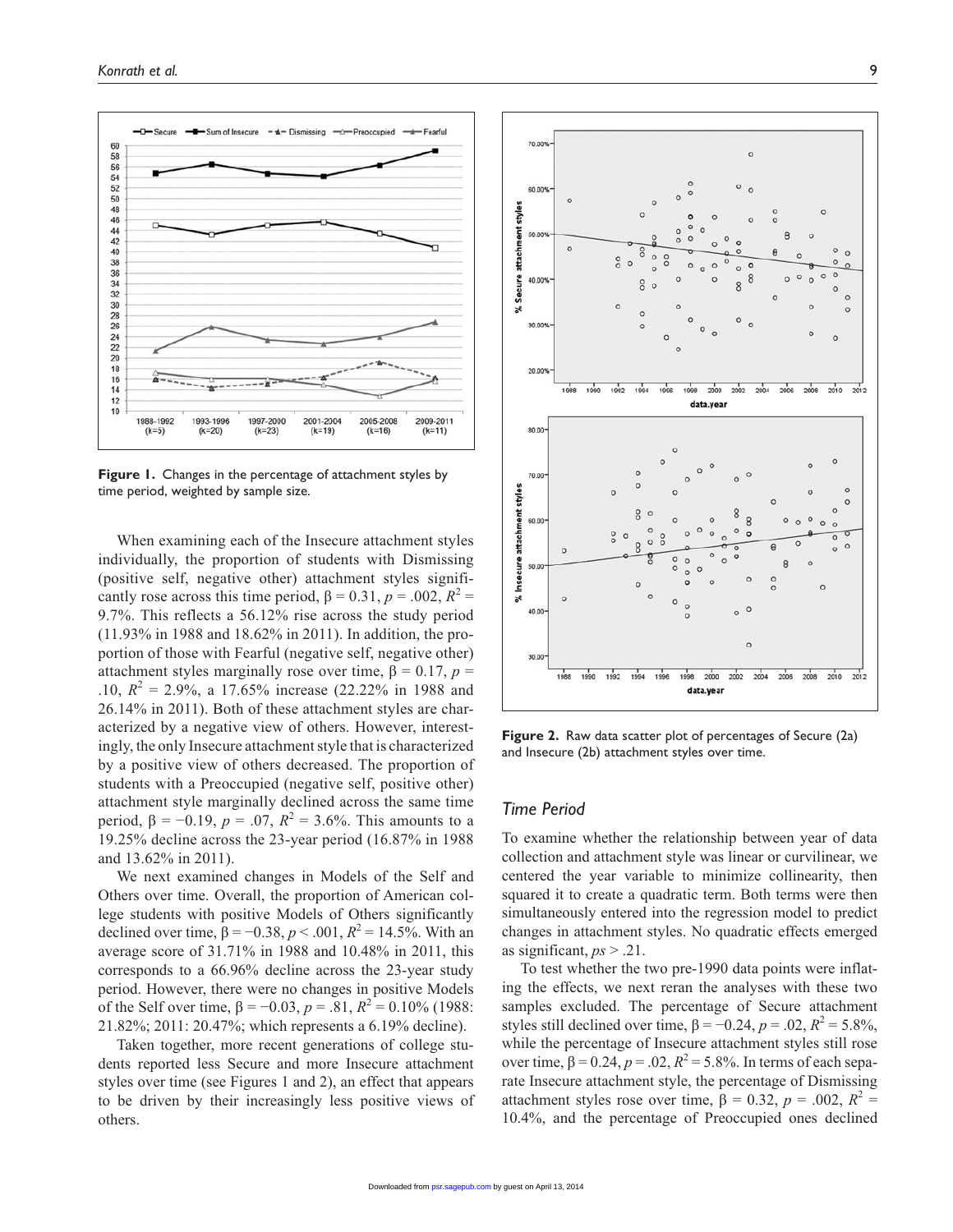

**Figure 1.** Changes in the percentage of attachment styles by time period, weighted by sample size.

When examining each of the Insecure attachment styles individually, the proportion of students with Dismissing (positive self, negative other) attachment styles significantly rose across this time period,  $\beta = 0.31$ ,  $p = .002$ ,  $R^2 =$ 9.7%. This reflects a 56.12% rise across the study period (11.93% in 1988 and 18.62% in 2011). In addition, the proportion of those with Fearful (negative self, negative other) attachment styles marginally rose over time,  $\beta = 0.17$ ,  $p =$ .10,  $R^2 = 2.9\%$ , a 17.65% increase (22.22% in 1988 and 26.14% in 2011). Both of these attachment styles are characterized by a negative view of others. However, interestingly, the only Insecure attachment style that is characterized by a positive view of others decreased. The proportion of students with a Preoccupied (negative self, positive other) attachment style marginally declined across the same time period, β =  $-0.19$ , *p* = .07, *R*<sup>2</sup> = 3.6%. This amounts to a 19.25% decline across the 23-year period (16.87% in 1988 and 13.62% in 2011).

We next examined changes in Models of the Self and Others over time. Overall, the proportion of American college students with positive Models of Others significantly declined over time,  $\beta = -0.38, p < .001, R^2 = 14.5\%$ . With an average score of 31.71% in 1988 and 10.48% in 2011, this corresponds to a 66.96% decline across the 23-year study period. However, there were no changes in positive Models of the Self over time,  $\beta = -0.03$ ,  $p = .81$ ,  $R^2 = 0.10\%$  (1988: 21.82%; 2011: 20.47%; which represents a 6.19% decline).

Taken together, more recent generations of college students reported less Secure and more Insecure attachment styles over time (see Figures 1 and 2), an effect that appears to be driven by their increasingly less positive views of others.



**Figure 2.** Raw data scatter plot of percentages of Secure (2a) and Insecure (2b) attachment styles over time.

### *Time Period*

To examine whether the relationship between year of data collection and attachment style was linear or curvilinear, we centered the year variable to minimize collinearity, then squared it to create a quadratic term. Both terms were then simultaneously entered into the regression model to predict changes in attachment styles. No quadratic effects emerged as significant, *ps* > .21.

To test whether the two pre-1990 data points were inflating the effects, we next reran the analyses with these two samples excluded. The percentage of Secure attachment styles still declined over time,  $\beta = -0.24$ ,  $p = .02$ ,  $R^2 = 5.8\%$ , while the percentage of Insecure attachment styles still rose over time,  $\beta = 0.24$ ,  $p = .02$ ,  $R^2 = 5.8$ %. In terms of each separate Insecure attachment style, the percentage of Dismissing attachment styles rose over time,  $\beta = 0.32$ ,  $p = .002$ ,  $R^2 =$ 10.4%, and the percentage of Preoccupied ones declined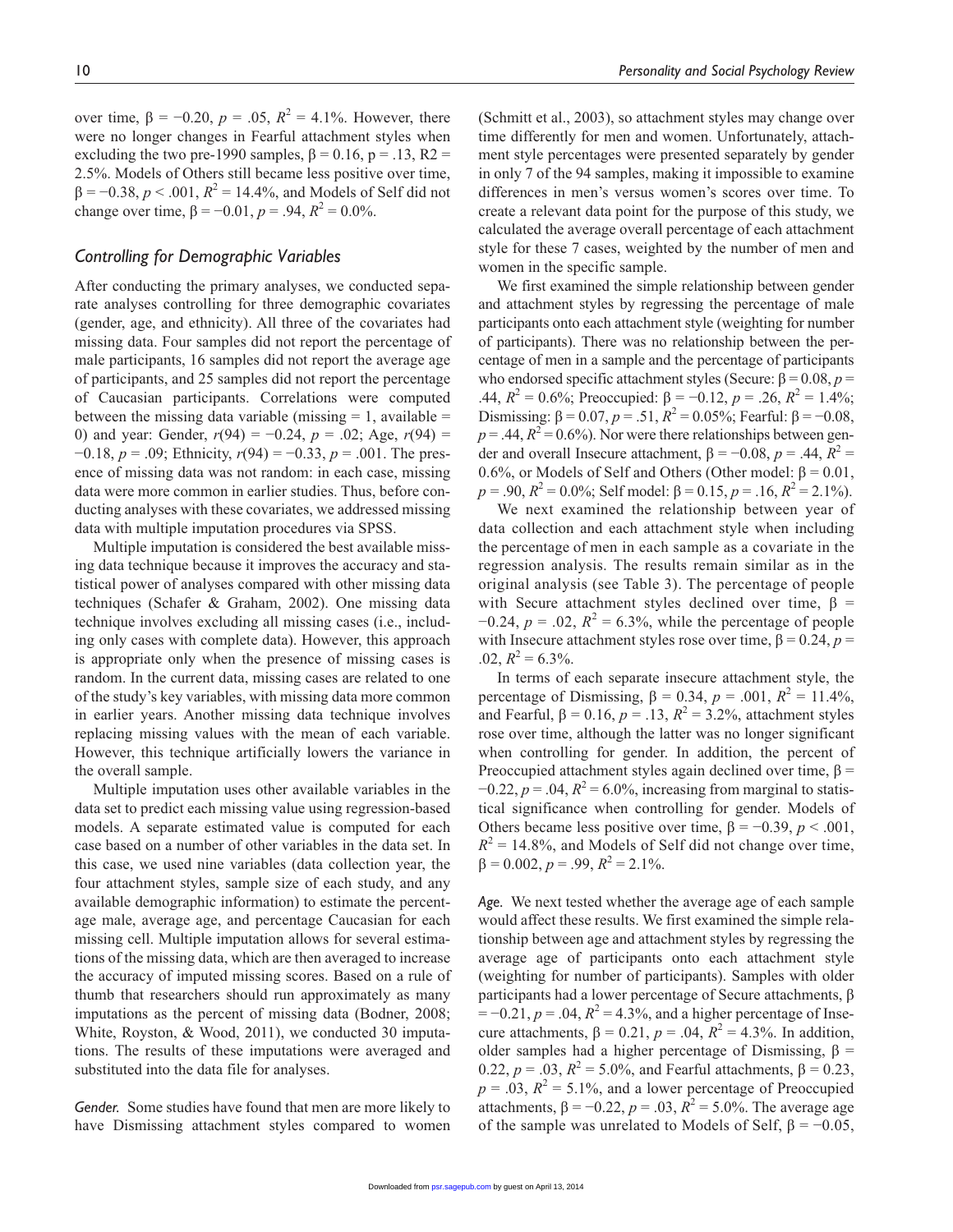over time,  $\beta = -0.20$ ,  $p = .05$ ,  $R^2 = 4.1$ %. However, there were no longer changes in Fearful attachment styles when excluding the two pre-1990 samples,  $\beta = 0.16$ , p = .13, R2 = 2.5%. Models of Others still became less positive over time,  $\beta = -0.38, p < .001, R^2 = 14.4\%$ , and Models of Self did not change over time,  $\beta = -0.01$ ,  $p = .94$ ,  $R^2 = 0.0$ %.

# *Controlling for Demographic Variables*

After conducting the primary analyses, we conducted separate analyses controlling for three demographic covariates (gender, age, and ethnicity). All three of the covariates had missing data. Four samples did not report the percentage of male participants, 16 samples did not report the average age of participants, and 25 samples did not report the percentage of Caucasian participants. Correlations were computed between the missing data variable (missing  $= 1$ , available  $=$ 0) and year: Gender, *r*(94) = −0.24, *p* = .02; Age, *r*(94) = −0.18, *p* = .09; Ethnicity, *r*(94) = −0.33, *p* = .001. The presence of missing data was not random: in each case, missing data were more common in earlier studies. Thus, before conducting analyses with these covariates, we addressed missing data with multiple imputation procedures via SPSS.

Multiple imputation is considered the best available missing data technique because it improves the accuracy and statistical power of analyses compared with other missing data techniques (Schafer & Graham, 2002). One missing data technique involves excluding all missing cases (i.e., including only cases with complete data). However, this approach is appropriate only when the presence of missing cases is random. In the current data, missing cases are related to one of the study's key variables, with missing data more common in earlier years. Another missing data technique involves replacing missing values with the mean of each variable. However, this technique artificially lowers the variance in the overall sample.

Multiple imputation uses other available variables in the data set to predict each missing value using regression-based models. A separate estimated value is computed for each case based on a number of other variables in the data set. In this case, we used nine variables (data collection year, the four attachment styles, sample size of each study, and any available demographic information) to estimate the percentage male, average age, and percentage Caucasian for each missing cell. Multiple imputation allows for several estimations of the missing data, which are then averaged to increase the accuracy of imputed missing scores. Based on a rule of thumb that researchers should run approximately as many imputations as the percent of missing data (Bodner, 2008; White, Royston, & Wood, 2011), we conducted 30 imputations. The results of these imputations were averaged and substituted into the data file for analyses.

*Gender.* Some studies have found that men are more likely to have Dismissing attachment styles compared to women (Schmitt et al., 2003), so attachment styles may change over time differently for men and women. Unfortunately, attachment style percentages were presented separately by gender in only 7 of the 94 samples, making it impossible to examine differences in men's versus women's scores over time. To create a relevant data point for the purpose of this study, we calculated the average overall percentage of each attachment style for these 7 cases, weighted by the number of men and women in the specific sample.

We first examined the simple relationship between gender and attachment styles by regressing the percentage of male participants onto each attachment style (weighting for number of participants). There was no relationship between the percentage of men in a sample and the percentage of participants who endorsed specific attachment styles (Secure: β = 0.08, *p* = .44,  $R^2 = 0.6\%$ ; Preoccupied: β = -0.12, *p* = .26,  $R^2 = 1.4\%$ ; Dismissing:  $β = 0.07, p = .51, R<sup>2</sup> = 0.05%$ ; Fearful:  $β = -0.08$ ,  $p = .44$ ,  $R<sup>2</sup> = 0.6$ %). Nor were there relationships between gender and overall Insecure attachment,  $\beta = -0.08$ ,  $p = .44$ ,  $R^2 =$ 0.6%, or Models of Self and Others (Other model:  $\beta = 0.01$ ,  $p = .90, R^2 = 0.0\%$ ; Self model:  $\beta = 0.15, p = .16, R^2 = 2.1\%$ ).

We next examined the relationship between year of data collection and each attachment style when including the percentage of men in each sample as a covariate in the regression analysis. The results remain similar as in the original analysis (see Table 3). The percentage of people with Secure attachment styles declined over time,  $\beta$  =  $-0.24$ ,  $p = .02$ ,  $R^2 = 6.3\%$ , while the percentage of people with Insecure attachment styles rose over time,  $\beta = 0.24$ ,  $p =$  $.02, R^2 = 6.3\%$ .

In terms of each separate insecure attachment style, the percentage of Dismissing,  $β = 0.34$ ,  $p = .001$ ,  $R^2 = 11.4\%$ , and Fearful,  $\beta = 0.16$ ,  $p = .13$ ,  $R^2 = 3.2$ %, attachment styles rose over time, although the latter was no longer significant when controlling for gender. In addition, the percent of Preoccupied attachment styles again declined over time,  $\beta$  =  $-0.22$ ,  $p = .04$ ,  $R^2 = 6.0\%$ , increasing from marginal to statistical significance when controlling for gender. Models of Others became less positive over time,  $\beta = -0.39$ ,  $p < .001$ ,  $R^2 = 14.8\%$ , and Models of Self did not change over time,  $β = 0.002, p = .99, R<sup>2</sup> = 2.1%$ 

*Age.* We next tested whether the average age of each sample would affect these results. We first examined the simple relationship between age and attachment styles by regressing the average age of participants onto each attachment style (weighting for number of participants). Samples with older participants had a lower percentage of Secure attachments, β  $= -0.21, p = .04, R<sup>2</sup> = 4.3%$ , and a higher percentage of Insecure attachments,  $β = 0.21$ ,  $p = .04$ ,  $R^2 = 4.3$ %. In addition, older samples had a higher percentage of Dismissing,  $\beta$  = 0.22,  $p = .03$ ,  $R^2 = 5.0\%$ , and Fearful attachments,  $β = 0.23$ ,  $p = .03$ ,  $R^2 = 5.1\%$ , and a lower percentage of Preoccupied attachments, β = -0.22, *p* = .03,  $R^2$  = 5.0%. The average age of the sa[mple was u](http://psr.sagepub.com/)nrelated to Models of Self,  $β = -0.05$ ,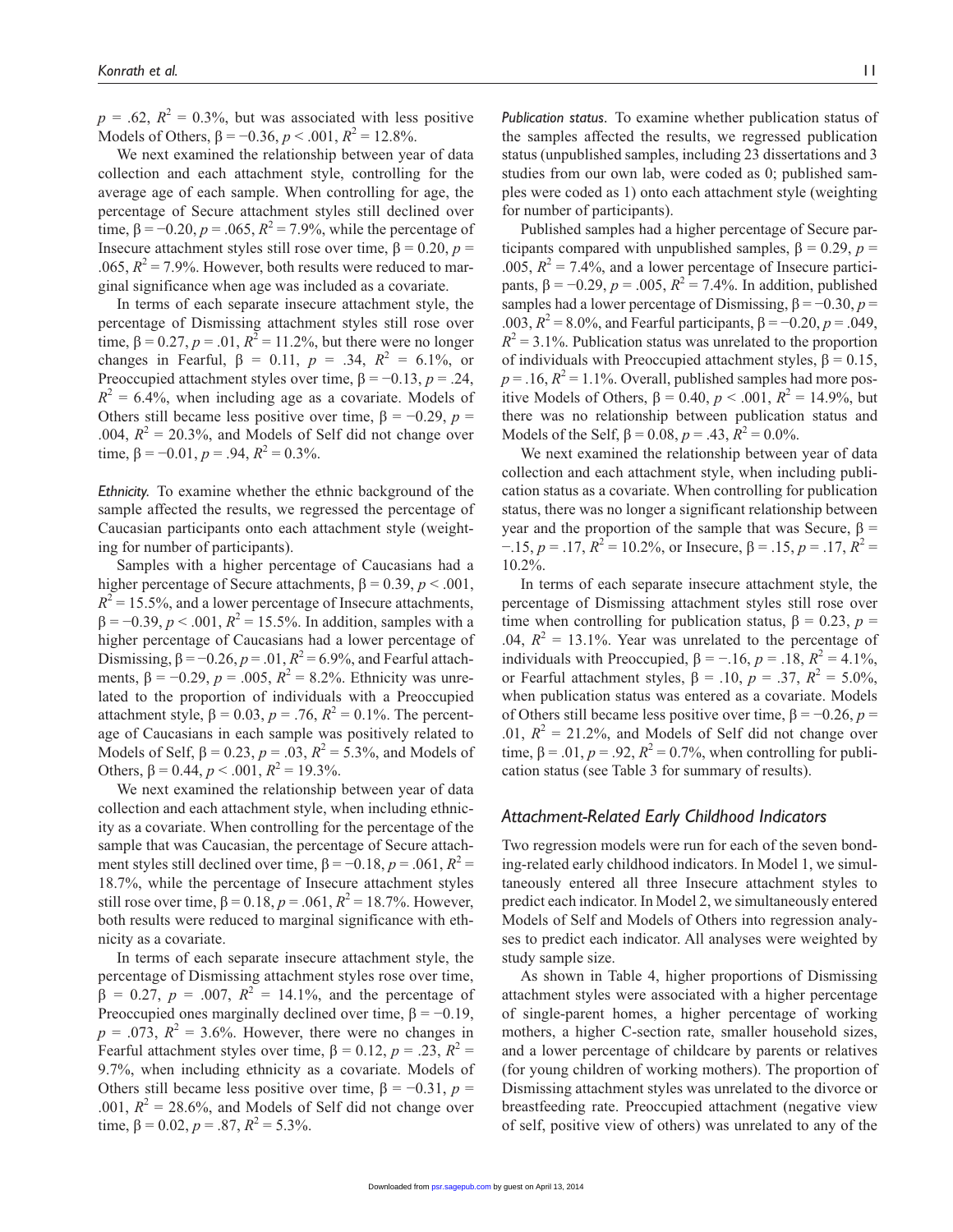$p = .62$ ,  $R^2 = 0.3\%$ , but was associated with less positive Models of Others,  $\beta = -0.36$ ,  $p < .001$ ,  $R^2 = 12.8\%$ .

We next examined the relationship between year of data collection and each attachment style, controlling for the average age of each sample. When controlling for age, the percentage of Secure attachment styles still declined over time,  $β = -0.20, p = .065, R<sup>2</sup> = 7.9%$ , while the percentage of Insecure attachment styles still rose over time,  $β = 0.20, p =$ .065,  $R^2 = 7.9\%$ . However, both results were reduced to marginal significance when age was included as a covariate.

In terms of each separate insecure attachment style, the percentage of Dismissing attachment styles still rose over time,  $β = 0.27, p = .01, R<sup>2</sup> = 11.2%$ , but there were no longer changes in Fearful,  $β = 0.11$ ,  $p = .34$ ,  $R^2 = 6.1\%$ , or Preoccupied attachment styles over time,  $\beta = -0.13$ ,  $p = .24$ ,  $R^2 = 6.4\%$ , when including age as a covariate. Models of Others still became less positive over time,  $\beta = -0.29$ ,  $p =$ .004,  $R^2 = 20.3\%$ , and Models of Self did not change over time,  $β = -0.01$ ,  $p = .94$ ,  $R^2 = 0.3$ %.

*Ethnicity.* To examine whether the ethnic background of the sample affected the results, we regressed the percentage of Caucasian participants onto each attachment style (weighting for number of participants).

Samples with a higher percentage of Caucasians had a higher percentage of Secure attachments,  $\beta = 0.39$ ,  $p < .001$ ,  $R^2$  = 15.5%, and a lower percentage of Insecure attachments,  $\beta = -0.39, p < .001, R^2 = 15.5\%$ . In addition, samples with a higher percentage of Caucasians had a lower percentage of Dismissing,  $\beta = -0.26$ ,  $p = .01$ ,  $R^2 = 6.9$ %, and Fearful attachments, β = -0.29, *p* = .005,  $R^2 = 8.2%$ . Ethnicity was unrelated to the proportion of individuals with a Preoccupied attachment style,  $\beta = 0.03$ ,  $p = .76$ ,  $R^2 = 0.1$ %. The percentage of Caucasians in each sample was positively related to Models of Self,  $β = 0.23$ ,  $p = .03$ ,  $R^2 = 5.3$ %, and Models of Others,  $\beta = 0.44$ ,  $p < .001$ ,  $R^2 = 19.3\%$ .

We next examined the relationship between year of data collection and each attachment style, when including ethnicity as a covariate. When controlling for the percentage of the sample that was Caucasian, the percentage of Secure attachment styles still declined over time,  $\beta = -0.18$ ,  $p = .061$ ,  $R^2 =$ 18.7%, while the percentage of Insecure attachment styles still rose over time,  $β = 0.18, p = .061, R<sup>2</sup> = 18.7%$ . However, both results were reduced to marginal significance with ethnicity as a covariate.

In terms of each separate insecure attachment style, the percentage of Dismissing attachment styles rose over time,  $\beta = 0.27$ ,  $p = .007$ ,  $R^2 = 14.1\%$ , and the percentage of Preoccupied ones marginally declined over time,  $\beta = -0.19$ ,  $p = .073$ ,  $R^2 = 3.6\%$ . However, there were no changes in Fearful attachment styles over time,  $\beta = 0.12$ ,  $p = .23$ ,  $R^2 =$ 9.7%, when including ethnicity as a covariate. Models of Others still became less positive over time,  $\beta = -0.31$ ,  $p =$ .001,  $R^2 = 28.6\%$ , and Models of Self did not change over time,  $\beta = 0.02$ ,  $p = .87$ ,  $R^2 = 5.3\%$ .

*Publication status.* To examine whether publication status of the samples affected the results, we regressed publication status (unpublished samples, including 23 dissertations and 3 studies from our own lab, were coded as 0; published samples were coded as 1) onto each attachment style (weighting for number of participants).

Published samples had a higher percentage of Secure participants compared with unpublished samples,  $β = 0.29$ ,  $p =$ .005,  $R^2 = 7.4\%$ , and a lower percentage of Insecure participants, β = -0.29, *p* = .005,  $R^2$  = 7.4%. In addition, published samples had a lower percentage of Dismissing,  $\beta = -0.30, p =$ .003,  $R^2 = 8.0\%$ , and Fearful participants,  $β = -0.20, p = .049$ ,  $R^2 = 3.1\%$ . Publication status was unrelated to the proportion of individuals with Preoccupied attachment styles,  $β = 0.15$ ,  $p = .16$ ,  $R^2 = 1.1$ %. Overall, published samples had more positive Models of Others,  $β = 0.40, p < .001, R^2 = 14.9%$ , but there was no relationship between publication status and Models of the Self,  $\beta = 0.08$ ,  $p = .43$ ,  $R^2 = 0.0\%$ .

We next examined the relationship between year of data collection and each attachment style, when including publication status as a covariate. When controlling for publication status, there was no longer a significant relationship between year and the proportion of the sample that was Secure,  $β =$  $-15, p = 0.17, R<sup>2</sup> = 10.2%$ , or Insecure, β = 0.15, p = 0.17, R<sup>2</sup> 10.2%.

In terms of each separate insecure attachment style, the percentage of Dismissing attachment styles still rose over time when controlling for publication status,  $\beta = 0.23$ ,  $p =$ .04,  $R^2 = 13.1\%$ . Year was unrelated to the percentage of individuals with Preoccupied,  $\beta = -.16$ ,  $p = .18$ ,  $R^2 = 4.1\%$ , or Fearful attachment styles,  $\beta = .10$ ,  $p = .37$ ,  $R^2 = 5.0\%$ , when publication status was entered as a covariate. Models of Others still became less positive over time,  $\beta = -0.26$ ,  $p =$ .01,  $R^2 = 21.2\%$ , and Models of Self did not change over time,  $\beta = .01$ ,  $p = .92$ ,  $R^2 = 0.7$ %, when controlling for publication status (see Table 3 for summary of results).

#### *Attachment-Related Early Childhood Indicators*

Two regression models were run for each of the seven bonding-related early childhood indicators. In Model 1, we simultaneously entered all three Insecure attachment styles to predict each indicator. In Model 2, we simultaneously entered Models of Self and Models of Others into regression analyses to predict each indicator. All analyses were weighted by study sample size.

As shown in Table 4, higher proportions of Dismissing attachment styles were associated with a higher percentage of single-parent homes, a higher percentage of working mothers, a higher C-section rate, smaller household sizes, and a lower percentage of childcare by parents or relatives (for young children of working mothers). The proportion of Dismissing attachment styles was unrelated to the divorce or breastfeeding rate. Preoccupied attachment (negative view of sel[f, positive v](http://psr.sagepub.com/)iew of others) was unrelated to any of the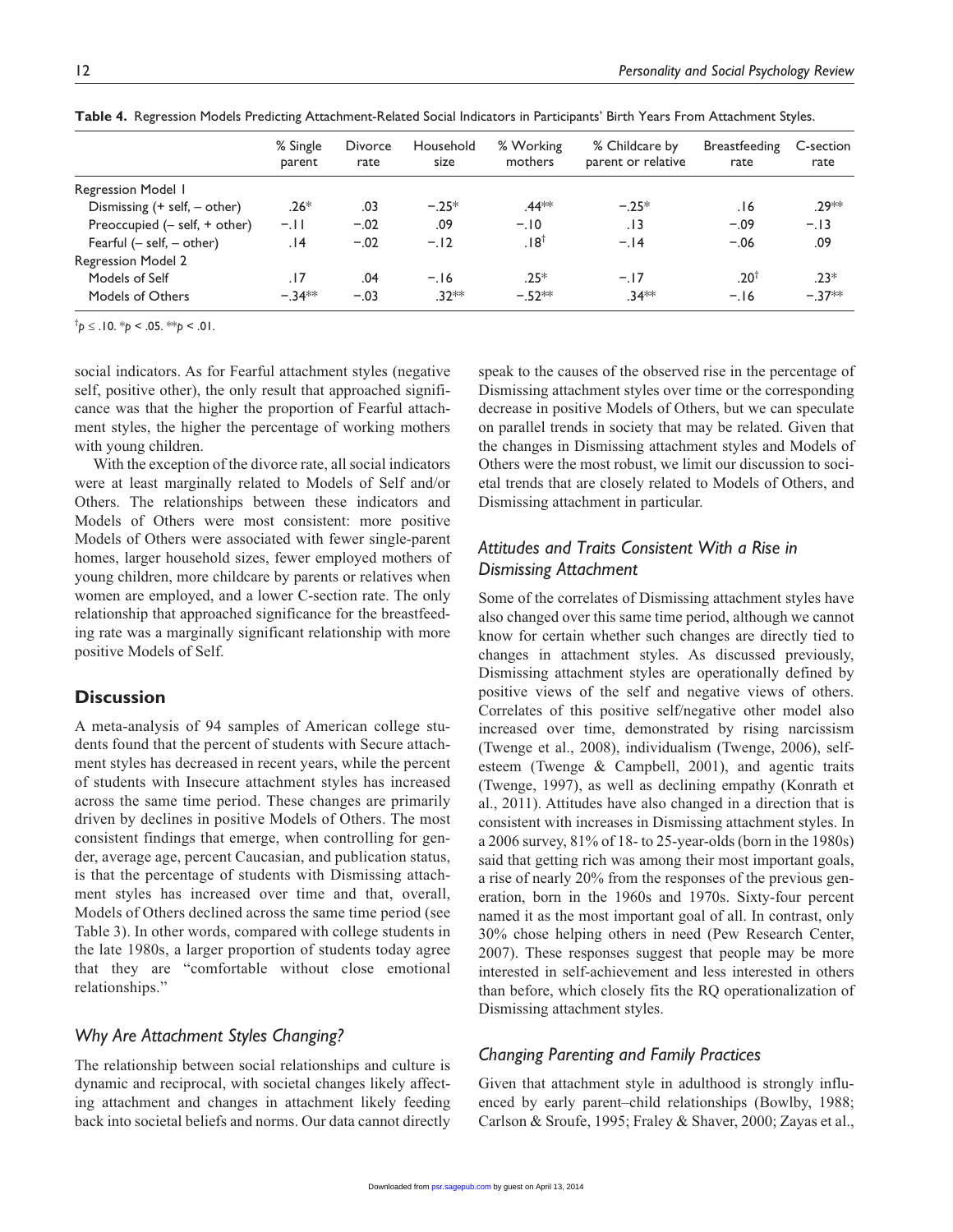|                                   | % Single<br>parent | Divorce<br>rate | Household<br>size | % Working<br>mothers | % Childcare by<br>parent or relative | <b>Breastfeeding</b><br>rate | C-section<br>rate |
|-----------------------------------|--------------------|-----------------|-------------------|----------------------|--------------------------------------|------------------------------|-------------------|
| Regression Model 1                |                    |                 |                   |                      |                                      |                              |                   |
| Dismissing $(+)$ self, $-$ other) | $.26*$             | .03             | $-25*$            | .44 <sup>*</sup> *   | $-.25*$                              | 16.                          | .29 **            |
| Preoccupied $(-$ self, $+$ other) | $-.11$             | $-.02$          | .09               | $-.10$               | .13                                  | $-.09$                       | $-.13$            |
| Fearful $(-$ self, $-$ other)     | 14.                | $-.02$          | $-.12$            | 18†.                 | $-.14$                               | $-.06$                       | .09               |
| <b>Regression Model 2</b>         |                    |                 |                   |                      |                                      |                              |                   |
| Models of Self                    | .17                | .04             | $-.16$            | $.25*$               | $-17$                                | .20 <sup>1</sup>             | $.23*$            |
| Models of Others                  | $-34**$            | $-.03$          | $.32**$           | $-.52**$             | $.34**$                              | $-.16$                       | $-37**$           |

**Table 4.** Regression Models Predicting Attachment-Related Social Indicators in Participants' Birth Years From Attachment Styles.

<sup>†</sup> $p$  ≤ .10. \* $p$  < .05. \*\* $p$  < .01.

social indicators. As for Fearful attachment styles (negative self, positive other), the only result that approached significance was that the higher the proportion of Fearful attachment styles, the higher the percentage of working mothers with young children.

With the exception of the divorce rate, all social indicators were at least marginally related to Models of Self and/or Others. The relationships between these indicators and Models of Others were most consistent: more positive Models of Others were associated with fewer single-parent homes, larger household sizes, fewer employed mothers of young children, more childcare by parents or relatives when women are employed, and a lower C-section rate. The only relationship that approached significance for the breastfeeding rate was a marginally significant relationship with more positive Models of Self.

# **Discussion**

A meta-analysis of 94 samples of American college students found that the percent of students with Secure attachment styles has decreased in recent years, while the percent of students with Insecure attachment styles has increased across the same time period. These changes are primarily driven by declines in positive Models of Others. The most consistent findings that emerge, when controlling for gender, average age, percent Caucasian, and publication status, is that the percentage of students with Dismissing attachment styles has increased over time and that, overall, Models of Others declined across the same time period (see Table 3). In other words, compared with college students in the late 1980s, a larger proportion of students today agree that they are "comfortable without close emotional relationships."

#### *Why Are Attachment Styles Changing?*

The relationship between social relationships and culture is dynamic and reciprocal, with societal changes likely affecting attachment and changes in attachment likely feeding back into societal beliefs and norms. Our data cannot directly

speak to the causes of the observed rise in the percentage of Dismissing attachment styles over time or the corresponding decrease in positive Models of Others, but we can speculate on parallel trends in society that may be related. Given that the changes in Dismissing attachment styles and Models of Others were the most robust, we limit our discussion to societal trends that are closely related to Models of Others, and Dismissing attachment in particular.

# *Attitudes and Traits Consistent With a Rise in Dismissing Attachment*

Some of the correlates of Dismissing attachment styles have also changed over this same time period, although we cannot know for certain whether such changes are directly tied to changes in attachment styles. As discussed previously, Dismissing attachment styles are operationally defined by positive views of the self and negative views of others. Correlates of this positive self/negative other model also increased over time, demonstrated by rising narcissism (Twenge et al., 2008), individualism (Twenge, 2006), selfesteem (Twenge & Campbell, 2001), and agentic traits (Twenge, 1997), as well as declining empathy (Konrath et al., 2011). Attitudes have also changed in a direction that is consistent with increases in Dismissing attachment styles. In a 2006 survey, 81% of 18- to 25-year-olds (born in the 1980s) said that getting rich was among their most important goals, a rise of nearly 20% from the responses of the previous generation, born in the 1960s and 1970s. Sixty-four percent named it as the most important goal of all. In contrast, only 30% chose helping others in need (Pew Research Center, 2007). These responses suggest that people may be more interested in self-achievement and less interested in others than before, which closely fits the RQ operationalization of Dismissing attachment styles.

#### *Changing Parenting and Family Practices*

Given that attachment style in adulthood is strongly influenced by early parent–child relationships (Bowlby, 1988; Carlson & Sroufe, 1995; Fraley & Shaver, 2000; Zayas et al.,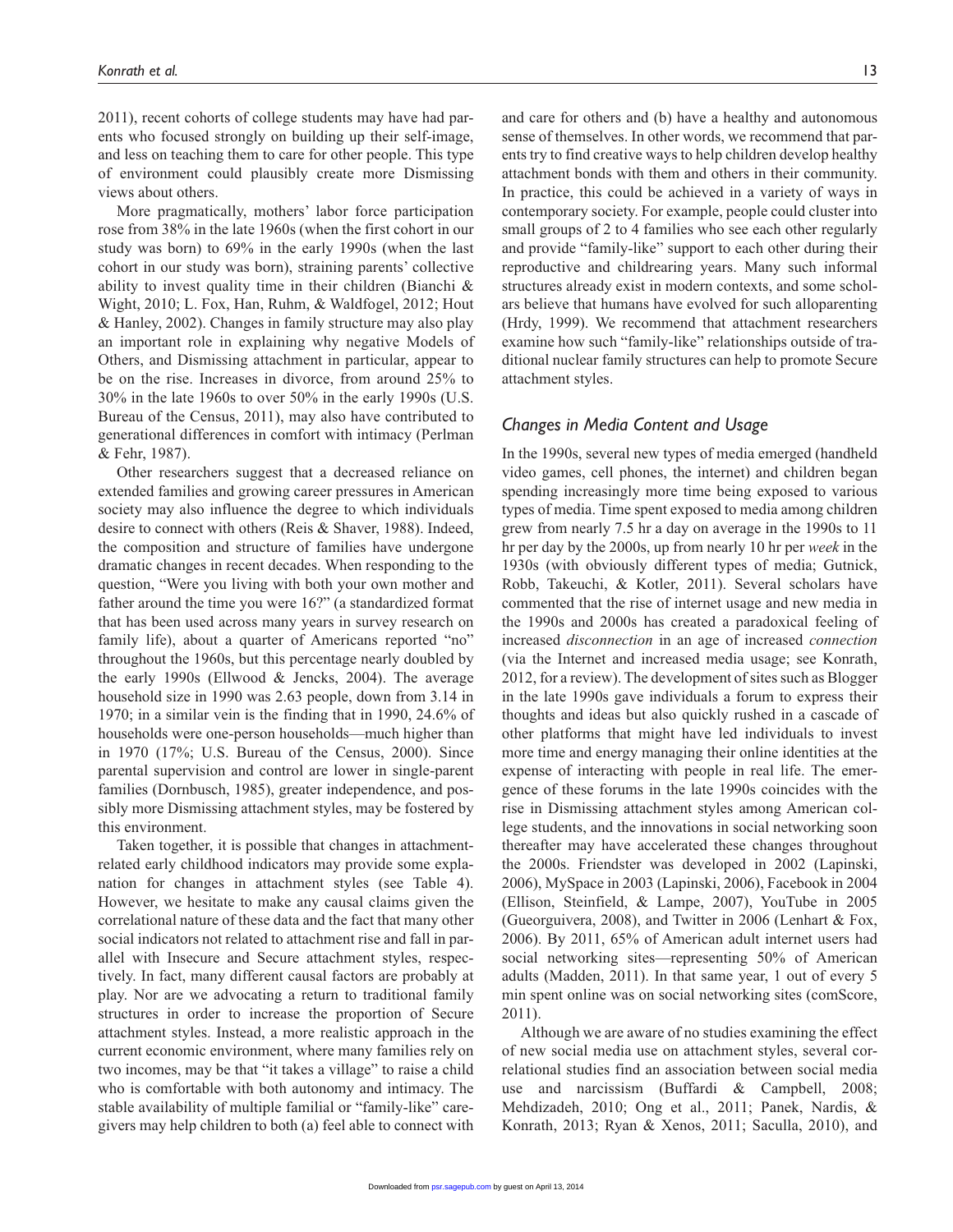2011), recent cohorts of college students may have had parents who focused strongly on building up their self-image, and less on teaching them to care for other people. This type of environment could plausibly create more Dismissing views about others.

More pragmatically, mothers' labor force participation rose from 38% in the late 1960s (when the first cohort in our study was born) to 69% in the early 1990s (when the last cohort in our study was born), straining parents' collective ability to invest quality time in their children (Bianchi & Wight, 2010; L. Fox, Han, Ruhm, & Waldfogel, 2012; Hout & Hanley, 2002). Changes in family structure may also play an important role in explaining why negative Models of Others, and Dismissing attachment in particular, appear to be on the rise. Increases in divorce, from around 25% to 30% in the late 1960s to over 50% in the early 1990s (U.S. Bureau of the Census, 2011), may also have contributed to generational differences in comfort with intimacy (Perlman & Fehr, 1987).

Other researchers suggest that a decreased reliance on extended families and growing career pressures in American society may also influence the degree to which individuals desire to connect with others (Reis & Shaver, 1988). Indeed, the composition and structure of families have undergone dramatic changes in recent decades. When responding to the question, "Were you living with both your own mother and father around the time you were 16?" (a standardized format that has been used across many years in survey research on family life), about a quarter of Americans reported "no" throughout the 1960s, but this percentage nearly doubled by the early 1990s (Ellwood & Jencks, 2004). The average household size in 1990 was 2.63 people, down from 3.14 in 1970; in a similar vein is the finding that in 1990, 24.6% of households were one-person households—much higher than in 1970 (17%; U.S. Bureau of the Census, 2000). Since parental supervision and control are lower in single-parent families (Dornbusch, 1985), greater independence, and possibly more Dismissing attachment styles, may be fostered by this environment.

Taken together, it is possible that changes in attachmentrelated early childhood indicators may provide some explanation for changes in attachment styles (see Table 4). However, we hesitate to make any causal claims given the correlational nature of these data and the fact that many other social indicators not related to attachment rise and fall in parallel with Insecure and Secure attachment styles, respectively. In fact, many different causal factors are probably at play. Nor are we advocating a return to traditional family structures in order to increase the proportion of Secure attachment styles. Instead, a more realistic approach in the current economic environment, where many families rely on two incomes, may be that "it takes a village" to raise a child who is comfortable with both autonomy and intimacy. The stable availability of multiple familial or "family-like" caregivers may help children to both (a) feel able to connect with

and care for others and (b) have a healthy and autonomous sense of themselves. In other words, we recommend that parents try to find creative ways to help children develop healthy attachment bonds with them and others in their community. In practice, this could be achieved in a variety of ways in contemporary society. For example, people could cluster into small groups of 2 to 4 families who see each other regularly and provide "family-like" support to each other during their reproductive and childrearing years. Many such informal structures already exist in modern contexts, and some scholars believe that humans have evolved for such alloparenting (Hrdy, 1999). We recommend that attachment researchers examine how such "family-like" relationships outside of traditional nuclear family structures can help to promote Secure attachment styles.

#### *Changes in Media Content and Usage*

In the 1990s, several new types of media emerged (handheld video games, cell phones, the internet) and children began spending increasingly more time being exposed to various types of media. Time spent exposed to media among children grew from nearly 7.5 hr a day on average in the 1990s to 11 hr per day by the 2000s, up from nearly 10 hr per *week* in the 1930s (with obviously different types of media; Gutnick, Robb, Takeuchi, & Kotler, 2011). Several scholars have commented that the rise of internet usage and new media in the 1990s and 2000s has created a paradoxical feeling of increased *disconnection* in an age of increased *connection* (via the Internet and increased media usage; see Konrath, 2012, for a review). The development of sites such as Blogger in the late 1990s gave individuals a forum to express their thoughts and ideas but also quickly rushed in a cascade of other platforms that might have led individuals to invest more time and energy managing their online identities at the expense of interacting with people in real life. The emergence of these forums in the late 1990s coincides with the rise in Dismissing attachment styles among American college students, and the innovations in social networking soon thereafter may have accelerated these changes throughout the 2000s. Friendster was developed in 2002 (Lapinski, 2006), MySpace in 2003 (Lapinski, 2006), Facebook in 2004 (Ellison, Steinfield, & Lampe, 2007), YouTube in 2005 (Gueorguivera, 2008), and Twitter in 2006 (Lenhart & Fox, 2006). By 2011, 65% of American adult internet users had social networking sites—representing 50% of American adults (Madden, 2011). In that same year, 1 out of every 5 min spent online was on social networking sites (comScore, 2011).

Although we are aware of no studies examining the effect of new social media use on attachment styles, several correlational studies find an association between social media use and narcissism (Buffardi & Campbell, 2008; Mehdizadeh, 2010; Ong et al., 2011; Panek, Nardis, & Konr[ath, 2013; R](http://psr.sagepub.com/)yan & Xenos, 2011; Saculla, 2010), and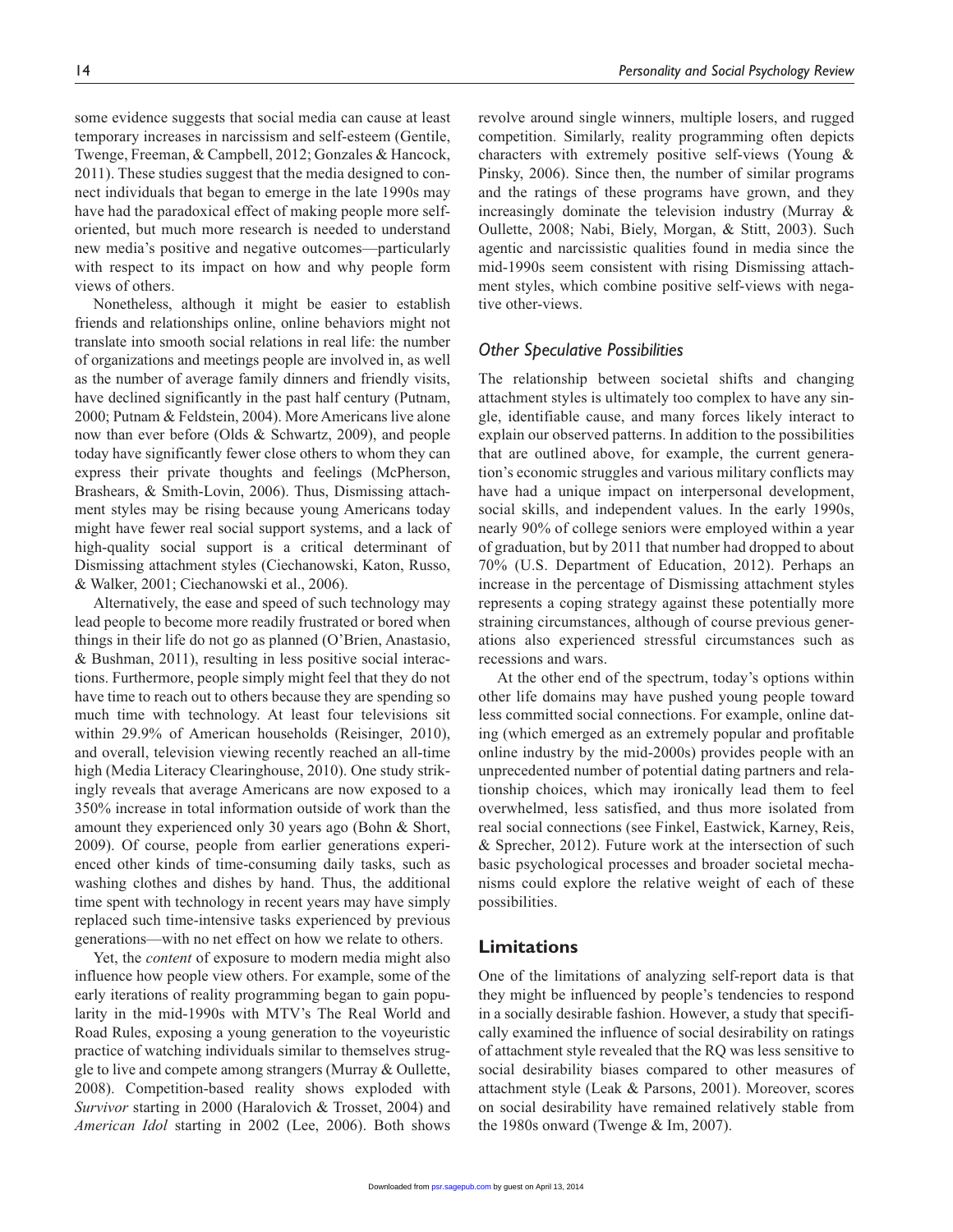some evidence suggests that social media can cause at least temporary increases in narcissism and self-esteem (Gentile, Twenge, Freeman, & Campbell, 2012; Gonzales & Hancock, 2011). These studies suggest that the media designed to connect individuals that began to emerge in the late 1990s may have had the paradoxical effect of making people more selforiented, but much more research is needed to understand new media's positive and negative outcomes—particularly with respect to its impact on how and why people form views of others.

Nonetheless, although it might be easier to establish friends and relationships online, online behaviors might not translate into smooth social relations in real life: the number of organizations and meetings people are involved in, as well as the number of average family dinners and friendly visits, have declined significantly in the past half century (Putnam, 2000; Putnam & Feldstein, 2004). More Americans live alone now than ever before (Olds & Schwartz, 2009), and people today have significantly fewer close others to whom they can express their private thoughts and feelings (McPherson, Brashears, & Smith-Lovin, 2006). Thus, Dismissing attachment styles may be rising because young Americans today might have fewer real social support systems, and a lack of high-quality social support is a critical determinant of Dismissing attachment styles (Ciechanowski, Katon, Russo, & Walker, 2001; Ciechanowski et al., 2006).

Alternatively, the ease and speed of such technology may lead people to become more readily frustrated or bored when things in their life do not go as planned (O'Brien, Anastasio, & Bushman, 2011), resulting in less positive social interactions. Furthermore, people simply might feel that they do not have time to reach out to others because they are spending so much time with technology. At least four televisions sit within 29.9% of American households (Reisinger, 2010), and overall, television viewing recently reached an all-time high (Media Literacy Clearinghouse, 2010). One study strikingly reveals that average Americans are now exposed to a 350% increase in total information outside of work than the amount they experienced only 30 years ago (Bohn & Short, 2009). Of course, people from earlier generations experienced other kinds of time-consuming daily tasks, such as washing clothes and dishes by hand. Thus, the additional time spent with technology in recent years may have simply replaced such time-intensive tasks experienced by previous generations—with no net effect on how we relate to others.

Yet, the *content* of exposure to modern media might also influence how people view others. For example, some of the early iterations of reality programming began to gain popularity in the mid-1990s with MTV's The Real World and Road Rules, exposing a young generation to the voyeuristic practice of watching individuals similar to themselves struggle to live and compete among strangers (Murray & Oullette, 2008). Competition-based reality shows exploded with *Survivor* starting in 2000 (Haralovich & Trosset, 2004) and *American Idol* starting in 2002 (Lee, 2006). Both shows

revolve around single winners, multiple losers, and rugged competition. Similarly, reality programming often depicts characters with extremely positive self-views (Young & Pinsky, 2006). Since then, the number of similar programs and the ratings of these programs have grown, and they increasingly dominate the television industry (Murray & Oullette, 2008; Nabi, Biely, Morgan, & Stitt, 2003). Such agentic and narcissistic qualities found in media since the mid-1990s seem consistent with rising Dismissing attachment styles, which combine positive self-views with negative other-views.

#### *Other Speculative Possibilities*

The relationship between societal shifts and changing attachment styles is ultimately too complex to have any single, identifiable cause, and many forces likely interact to explain our observed patterns. In addition to the possibilities that are outlined above, for example, the current generation's economic struggles and various military conflicts may have had a unique impact on interpersonal development, social skills, and independent values. In the early 1990s, nearly 90% of college seniors were employed within a year of graduation, but by 2011 that number had dropped to about 70% (U.S. Department of Education, 2012). Perhaps an increase in the percentage of Dismissing attachment styles represents a coping strategy against these potentially more straining circumstances, although of course previous generations also experienced stressful circumstances such as recessions and wars.

At the other end of the spectrum, today's options within other life domains may have pushed young people toward less committed social connections. For example, online dating (which emerged as an extremely popular and profitable online industry by the mid-2000s) provides people with an unprecedented number of potential dating partners and relationship choices, which may ironically lead them to feel overwhelmed, less satisfied, and thus more isolated from real social connections (see Finkel, Eastwick, Karney, Reis, & Sprecher, 2012). Future work at the intersection of such basic psychological processes and broader societal mechanisms could explore the relative weight of each of these possibilities.

#### **Limitations**

One of the limitations of analyzing self-report data is that they might be influenced by people's tendencies to respond in a socially desirable fashion. However, a study that specifically examined the influence of social desirability on ratings of attachment style revealed that the RQ was less sensitive to social desirability biases compared to other measures of attachment style (Leak & Parsons, 2001). Moreover, scores on social desirability have remained relatively stable from the 1980s [onward \(Tw](http://psr.sagepub.com/)enge & Im, 2007).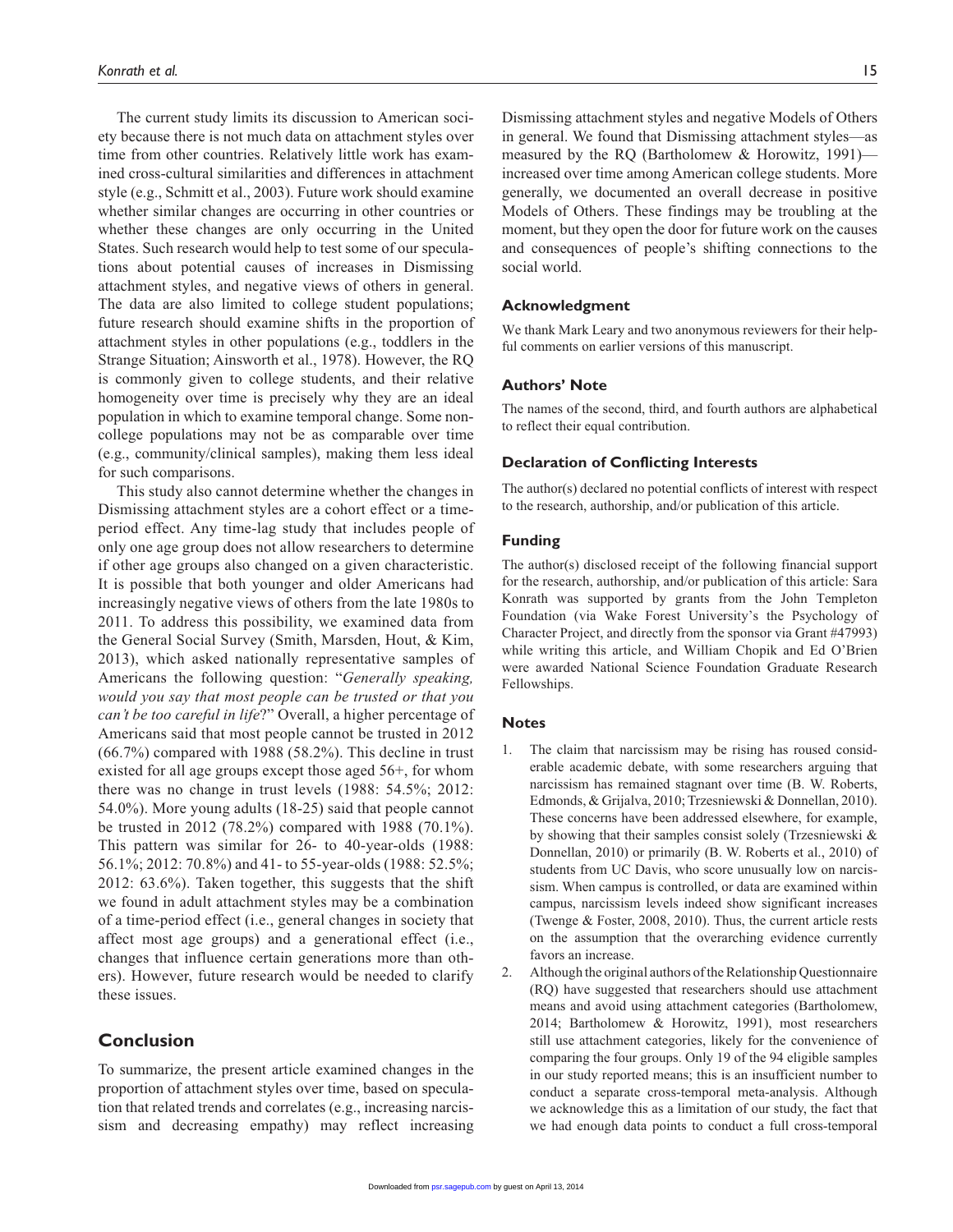The current study limits its discussion to American society because there is not much data on attachment styles over time from other countries. Relatively little work has examined cross-cultural similarities and differences in attachment style (e.g., Schmitt et al., 2003). Future work should examine whether similar changes are occurring in other countries or whether these changes are only occurring in the United States. Such research would help to test some of our speculations about potential causes of increases in Dismissing attachment styles, and negative views of others in general. The data are also limited to college student populations; future research should examine shifts in the proportion of attachment styles in other populations (e.g., toddlers in the Strange Situation; Ainsworth et al., 1978). However, the RQ is commonly given to college students, and their relative homogeneity over time is precisely why they are an ideal population in which to examine temporal change. Some noncollege populations may not be as comparable over time (e.g., community/clinical samples), making them less ideal for such comparisons.

This study also cannot determine whether the changes in Dismissing attachment styles are a cohort effect or a timeperiod effect. Any time-lag study that includes people of only one age group does not allow researchers to determine if other age groups also changed on a given characteristic. It is possible that both younger and older Americans had increasingly negative views of others from the late 1980s to 2011. To address this possibility, we examined data from the General Social Survey (Smith, Marsden, Hout, & Kim, 2013), which asked nationally representative samples of Americans the following question: "*Generally speaking, would you say that most people can be trusted or that you can't be too careful in life*?" Overall, a higher percentage of Americans said that most people cannot be trusted in 2012 (66.7%) compared with 1988 (58.2%). This decline in trust existed for all age groups except those aged 56+, for whom there was no change in trust levels (1988: 54.5%; 2012: 54.0%). More young adults (18-25) said that people cannot be trusted in 2012 (78.2%) compared with 1988 (70.1%). This pattern was similar for 26- to 40-year-olds (1988: 56.1%; 2012: 70.8%) and 41- to 55-year-olds (1988: 52.5%; 2012: 63.6%). Taken together, this suggests that the shift we found in adult attachment styles may be a combination of a time-period effect (i.e., general changes in society that affect most age groups) and a generational effect (i.e., changes that influence certain generations more than others). However, future research would be needed to clarify these issues.

# **Conclusion**

To summarize, the present article examined changes in the proportion of attachment styles over time, based on speculation that related trends and correlates (e.g., increasing narcissism and decreasing empathy) may reflect increasing Dismissing attachment styles and negative Models of Others in general. We found that Dismissing attachment styles—as measured by the RQ (Bartholomew & Horowitz, 1991) increased over time among American college students. More generally, we documented an overall decrease in positive Models of Others. These findings may be troubling at the moment, but they open the door for future work on the causes and consequences of people's shifting connections to the social world.

#### **Acknowledgment**

We thank Mark Leary and two anonymous reviewers for their helpful comments on earlier versions of this manuscript.

#### **Authors' Note**

The names of the second, third, and fourth authors are alphabetical to reflect their equal contribution.

#### **Declaration of Conflicting Interests**

The author(s) declared no potential conflicts of interest with respect to the research, authorship, and/or publication of this article.

#### **Funding**

The author(s) disclosed receipt of the following financial support for the research, authorship, and/or publication of this article: Sara Konrath was supported by grants from the John Templeton Foundation (via Wake Forest University's the Psychology of Character Project, and directly from the sponsor via Grant #47993) while writing this article, and William Chopik and Ed O'Brien were awarded National Science Foundation Graduate Research Fellowships.

#### **Notes**

- 1. The claim that narcissism may be rising has roused considerable academic debate, with some researchers arguing that narcissism has remained stagnant over time (B. W. Roberts, Edmonds, & Grijalva, 2010; Trzesniewski & Donnellan, 2010). These concerns have been addressed elsewhere, for example, by showing that their samples consist solely (Trzesniewski & Donnellan, 2010) or primarily (B. W. Roberts et al., 2010) of students from UC Davis, who score unusually low on narcissism. When campus is controlled, or data are examined within campus, narcissism levels indeed show significant increases (Twenge & Foster, 2008, 2010). Thus, the current article rests on the assumption that the overarching evidence currently favors an increase.
- 2. Although the original authors of the Relationship Questionnaire (RQ) have suggested that researchers should use attachment means and avoid using attachment categories (Bartholomew, 2014; Bartholomew & Horowitz, 1991), most researchers still use attachment categories, likely for the convenience of comparing the four groups. Only 19 of the 94 eligible samples in our study reported means; this is an insufficient number to conduct a separate cross-temporal meta-analysis. Although we acknowledge this as a limitation of our study, the fact that w[e had enoug](http://psr.sagepub.com/)h data points to conduct a full cross-temporal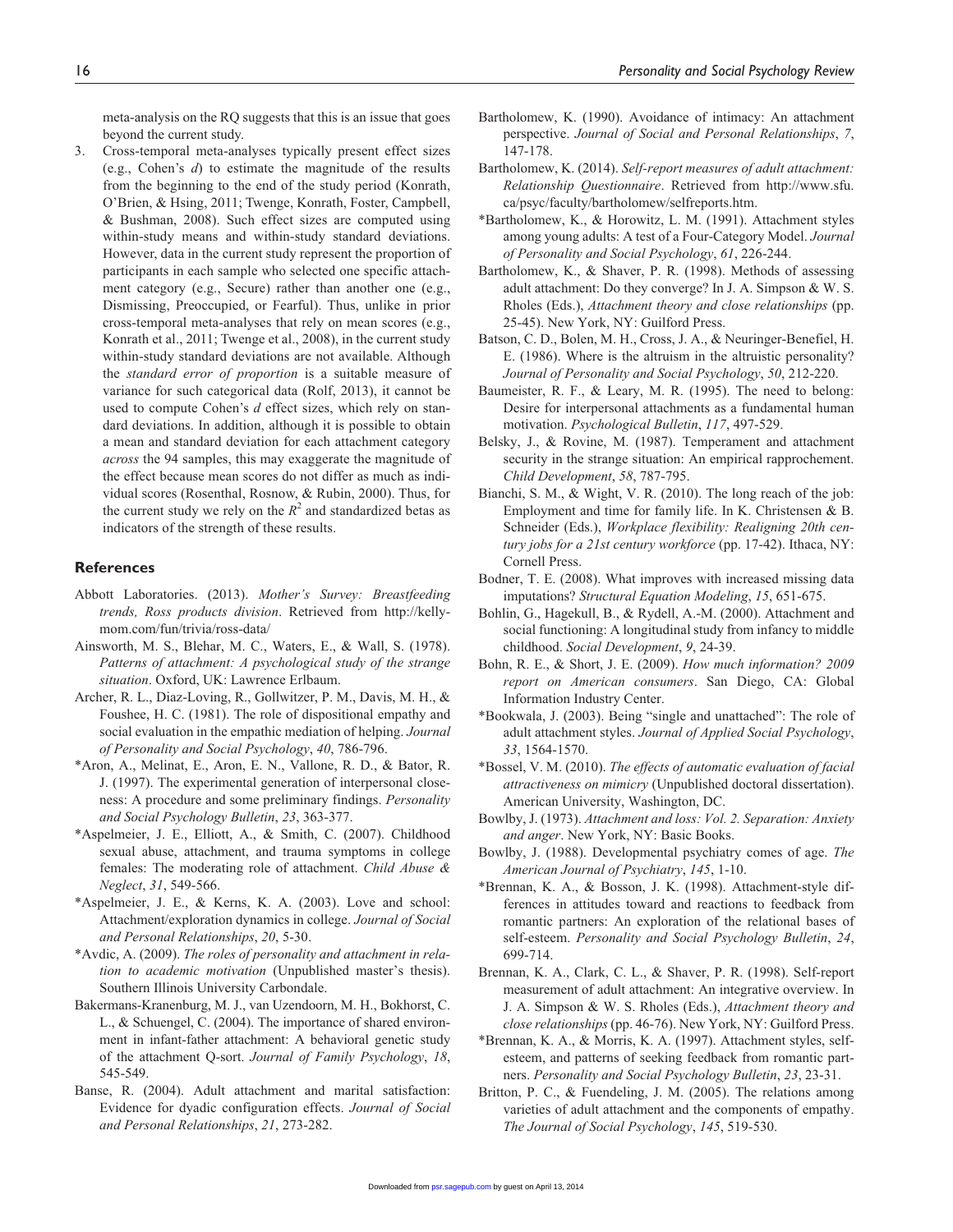meta-analysis on the RQ suggests that this is an issue that goes beyond the current study.

3. Cross-temporal meta-analyses typically present effect sizes (e.g., Cohen's *d*) to estimate the magnitude of the results from the beginning to the end of the study period (Konrath, O'Brien, & Hsing, 2011; Twenge, Konrath, Foster, Campbell, & Bushman, 2008). Such effect sizes are computed using within-study means and within-study standard deviations. However, data in the current study represent the proportion of participants in each sample who selected one specific attachment category (e.g., Secure) rather than another one (e.g., Dismissing, Preoccupied, or Fearful). Thus, unlike in prior cross-temporal meta-analyses that rely on mean scores (e.g., Konrath et al., 2011; Twenge et al., 2008), in the current study within-study standard deviations are not available. Although the *standard error of proportion* is a suitable measure of variance for such categorical data (Rolf, 2013), it cannot be used to compute Cohen's *d* effect sizes, which rely on standard deviations. In addition, although it is possible to obtain a mean and standard deviation for each attachment category *across* the 94 samples, this may exaggerate the magnitude of the effect because mean scores do not differ as much as individual scores (Rosenthal, Rosnow, & Rubin, 2000). Thus, for the current study we rely on the  $R^2$  and standardized betas as indicators of the strength of these results.

#### **References**

- Abbott Laboratories. (2013). *Mother's Survey: Breastfeeding trends, Ross products division*. Retrieved from [http://kelly](http://kellymom.com/fun/trivia/ross-data/)[mom.com/fun/trivia/ross-data/](http://kellymom.com/fun/trivia/ross-data/)
- Ainsworth, M. S., Blehar, M. C., Waters, E., & Wall, S. (1978). *Patterns of attachment: A psychological study of the strange situation*. Oxford, UK: Lawrence Erlbaum.
- Archer, R. L., Diaz-Loving, R., Gollwitzer, P. M., Davis, M. H., & Foushee, H. C. (1981). The role of dispositional empathy and social evaluation in the empathic mediation of helping. *Journal of Personality and Social Psychology*, *40*, 786-796.
- \*Aron, A., Melinat, E., Aron, E. N., Vallone, R. D., & Bator, R. J. (1997). The experimental generation of interpersonal closeness: A procedure and some preliminary findings. *Personality and Social Psychology Bulletin*, *23*, 363-377.
- \*Aspelmeier, J. E., Elliott, A., & Smith, C. (2007). Childhood sexual abuse, attachment, and trauma symptoms in college females: The moderating role of attachment. *Child Abuse & Neglect*, *31*, 549-566.
- \*Aspelmeier, J. E., & Kerns, K. A. (2003). Love and school: Attachment/exploration dynamics in college. *Journal of Social and Personal Relationships*, *20*, 5-30.
- \*Avdic, A. (2009). *The roles of personality and attachment in relation to academic motivation* (Unpublished master's thesis). Southern Illinois University Carbondale.
- Bakermans-Kranenburg, M. J., van Uzendoorn, M. H., Bokhorst, C. L., & Schuengel, C. (2004). The importance of shared environment in infant-father attachment: A behavioral genetic study of the attachment Q-sort. *Journal of Family Psychology*, *18*, 545-549.
- Banse, R. (2004). Adult attachment and marital satisfaction: Evidence for dyadic configuration effects. *Journal of Social and Personal Relationships*, *21*, 273-282.
- Bartholomew, K. (1990). Avoidance of intimacy: An attachment perspective. *Journal of Social and Personal Relationships*, *7*, 147-178.
- Bartholomew, K. (2014). *Self-report measures of adult attachment: Relationship Questionnaire*. Retrieved from [http://www.sfu.](http://www.sfu.ca/psyc/faculty/bartholomew/selfreports.htm) [ca/psyc/faculty/bartholomew/selfreports.htm.](http://www.sfu.ca/psyc/faculty/bartholomew/selfreports.htm)
- \*Bartholomew, K., & Horowitz, L. M. (1991). Attachment styles among young adults: A test of a Four-Category Model. *Journal of Personality and Social Psychology*, *61*, 226-244.
- Bartholomew, K., & Shaver, P. R. (1998). Methods of assessing adult attachment: Do they converge? In J. A. Simpson & W. S. Rholes (Eds.), *Attachment theory and close relationships* (pp. 25-45). New York, NY: Guilford Press.
- Batson, C. D., Bolen, M. H., Cross, J. A., & Neuringer-Benefiel, H. E. (1986). Where is the altruism in the altruistic personality? *Journal of Personality and Social Psychology*, *50*, 212-220.
- Baumeister, R. F., & Leary, M. R. (1995). The need to belong: Desire for interpersonal attachments as a fundamental human motivation. *Psychological Bulletin*, *117*, 497-529.
- Belsky, J., & Rovine, M. (1987). Temperament and attachment security in the strange situation: An empirical rapprochement. *Child Development*, *58*, 787-795.
- Bianchi, S. M., & Wight, V. R. (2010). The long reach of the job: Employment and time for family life. In K. Christensen & B. Schneider (Eds.), *Workplace flexibility: Realigning 20th century jobs for a 21st century workforce* (pp. 17-42). Ithaca, NY: Cornell Press.
- Bodner, T. E. (2008). What improves with increased missing data imputations? *Structural Equation Modeling*, *15*, 651-675.
- Bohlin, G., Hagekull, B., & Rydell, A.-M. (2000). Attachment and social functioning: A longitudinal study from infancy to middle childhood. *Social Development*, *9*, 24-39.
- Bohn, R. E., & Short, J. E. (2009). *How much information? 2009 report on American consumers*. San Diego, CA: Global Information Industry Center.
- \*Bookwala, J. (2003). Being "single and unattached": The role of adult attachment styles. *Journal of Applied Social Psychology*, *33*, 1564-1570.
- \*Bossel, V. M. (2010). *The effects of automatic evaluation of facial attractiveness on mimicry* (Unpublished doctoral dissertation). American University, Washington, DC.
- Bowlby, J. (1973). *Attachment and loss: Vol. 2. Separation: Anxiety and anger*. New York, NY: Basic Books.
- Bowlby, J. (1988). Developmental psychiatry comes of age. *The American Journal of Psychiatry*, *145*, 1-10.
- \*Brennan, K. A., & Bosson, J. K. (1998). Attachment-style differences in attitudes toward and reactions to feedback from romantic partners: An exploration of the relational bases of self-esteem. *Personality and Social Psychology Bulletin*, *24*, 699-714.
- Brennan, K. A., Clark, C. L., & Shaver, P. R. (1998). Self-report measurement of adult attachment: An integrative overview. In J. A. Simpson & W. S. Rholes (Eds.), *Attachment theory and close relationships* (pp. 46-76). New York, NY: Guilford Press.
- \*Brennan, K. A., & Morris, K. A. (1997). Attachment styles, selfesteem, and patterns of seeking feedback from romantic partners. *Personality and Social Psychology Bulletin*, *23*, 23-31.
- Britton, P. C., & Fuendeling, J. M. (2005). The relations among varieties of adult attachment and the components of empathy. *The J[ournal of Soc](http://psr.sagepub.com/)ial Psychology*, *145*, 519-530.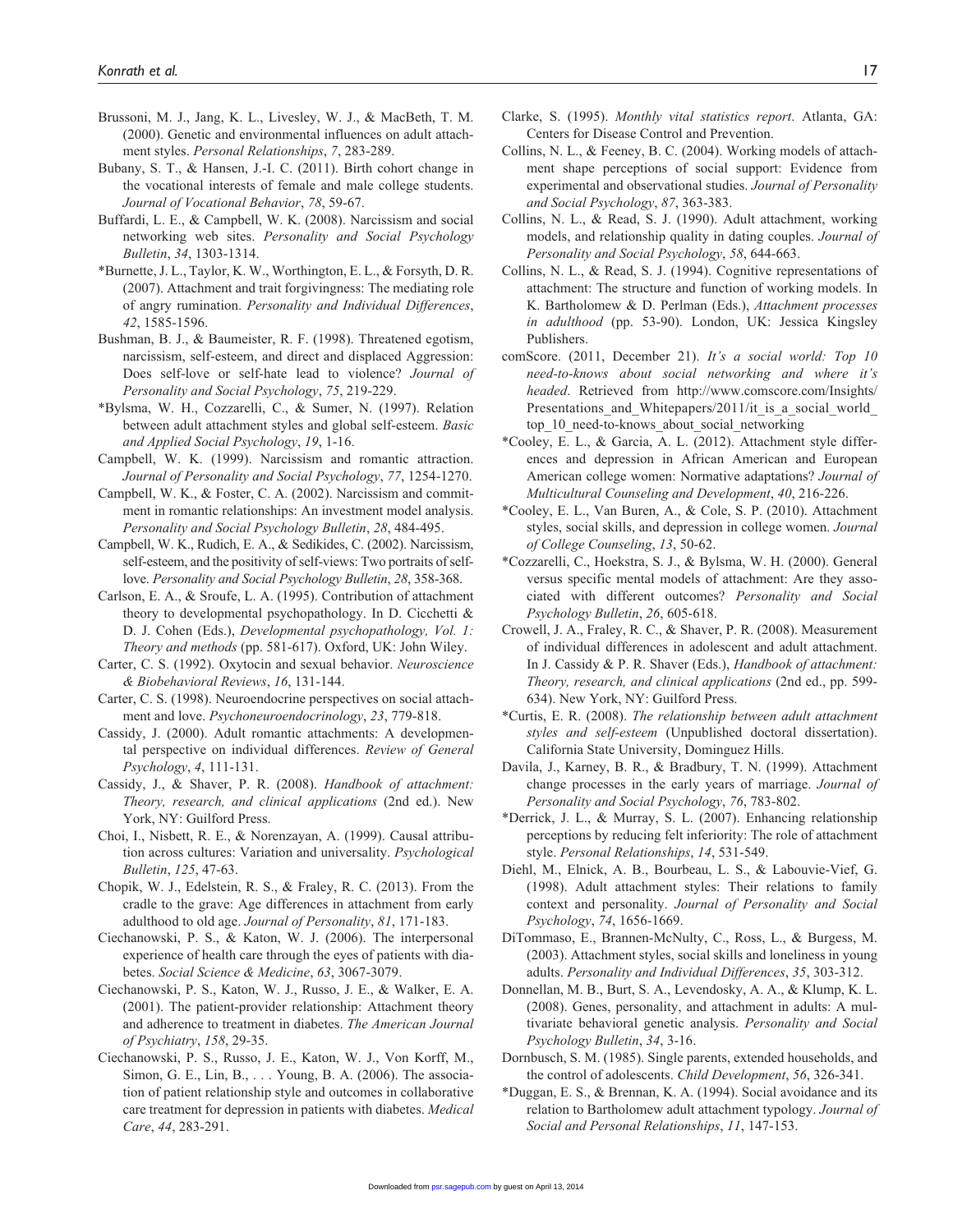- Brussoni, M. J., Jang, K. L., Livesley, W. J., & MacBeth, T. M. (2000). Genetic and environmental influences on adult attachment styles. *Personal Relationships*, *7*, 283-289.
- Bubany, S. T., & Hansen, J.-I. C. (2011). Birth cohort change in the vocational interests of female and male college students. *Journal of Vocational Behavior*, *78*, 59-67.
- Buffardi, L. E., & Campbell, W. K. (2008). Narcissism and social networking web sites. *Personality and Social Psychology Bulletin*, *34*, 1303-1314.
- \*Burnette, J. L., Taylor, K. W., Worthington, E. L., & Forsyth, D. R. (2007). Attachment and trait forgivingness: The mediating role of angry rumination. *Personality and Individual Differences*, *42*, 1585-1596.
- Bushman, B. J., & Baumeister, R. F. (1998). Threatened egotism, narcissism, self-esteem, and direct and displaced Aggression: Does self-love or self-hate lead to violence? *Journal of Personality and Social Psychology*, *75*, 219-229.
- \*Bylsma, W. H., Cozzarelli, C., & Sumer, N. (1997). Relation between adult attachment styles and global self-esteem. *Basic and Applied Social Psychology*, *19*, 1-16.
- Campbell, W. K. (1999). Narcissism and romantic attraction. *Journal of Personality and Social Psychology*, *77*, 1254-1270.
- Campbell, W. K., & Foster, C. A. (2002). Narcissism and commitment in romantic relationships: An investment model analysis. *Personality and Social Psychology Bulletin*, *28*, 484-495.
- Campbell, W. K., Rudich, E. A., & Sedikides, C. (2002). Narcissism, self-esteem, and the positivity of self-views: Two portraits of selflove. *Personality and Social Psychology Bulletin*, *28*, 358-368.
- Carlson, E. A., & Sroufe, L. A. (1995). Contribution of attachment theory to developmental psychopathology. In D. Cicchetti & D. J. Cohen (Eds.), *Developmental psychopathology, Vol. 1: Theory and methods* (pp. 581-617). Oxford, UK: John Wiley.
- Carter, C. S. (1992). Oxytocin and sexual behavior. *Neuroscience & Biobehavioral Reviews*, *16*, 131-144.
- Carter, C. S. (1998). Neuroendocrine perspectives on social attachment and love. *Psychoneuroendocrinology*, *23*, 779-818.
- Cassidy, J. (2000). Adult romantic attachments: A developmental perspective on individual differences. *Review of General Psychology*, *4*, 111-131.
- Cassidy, J., & Shaver, P. R. (2008). *Handbook of attachment: Theory, research, and clinical applications* (2nd ed.). New York, NY: Guilford Press.
- Choi, I., Nisbett, R. E., & Norenzayan, A. (1999). Causal attribution across cultures: Variation and universality. *Psychological Bulletin*, *125*, 47-63.
- Chopik, W. J., Edelstein, R. S., & Fraley, R. C. (2013). From the cradle to the grave: Age differences in attachment from early adulthood to old age. *Journal of Personality*, *81*, 171-183.
- Ciechanowski, P. S., & Katon, W. J. (2006). The interpersonal experience of health care through the eyes of patients with diabetes. *Social Science & Medicine*, *63*, 3067-3079.
- Ciechanowski, P. S., Katon, W. J., Russo, J. E., & Walker, E. A. (2001). The patient-provider relationship: Attachment theory and adherence to treatment in diabetes. *The American Journal of Psychiatry*, *158*, 29-35.
- Ciechanowski, P. S., Russo, J. E., Katon, W. J., Von Korff, M., Simon, G. E., Lin, B., . . . Young, B. A. (2006). The association of patient relationship style and outcomes in collaborative care treatment for depression in patients with diabetes. *Medical Care*, *44*, 283-291.
- Clarke, S. (1995). *Monthly vital statistics report*. Atlanta, GA: Centers for Disease Control and Prevention.
- Collins, N. L., & Feeney, B. C. (2004). Working models of attachment shape perceptions of social support: Evidence from experimental and observational studies. *Journal of Personality and Social Psychology*, *87*, 363-383.
- Collins, N. L., & Read, S. J. (1990). Adult attachment, working models, and relationship quality in dating couples. *Journal of Personality and Social Psychology*, *58*, 644-663.
- Collins, N. L., & Read, S. J. (1994). Cognitive representations of attachment: The structure and function of working models. In K. Bartholomew & D. Perlman (Eds.), *Attachment processes in adulthood* (pp. 53-90). London, UK: Jessica Kingsley Publishers.
- comScore. (2011, December 21). *It's a social world: Top 10 need-to-knows about social networking and where it's headed*. Retrieved from [http://www.comscore.com/Insights/](http://www.comscore.com/Insights/Presentations_and_Whitepapers/2011/it_is_a_social_world_top_10_need-to-knows_about_social_networking) Presentations and Whitepapers/2011/it is a social world [top\\_10\\_need-to-knows\\_about\\_social\\_networking](http://www.comscore.com/Insights/Presentations_and_Whitepapers/2011/it_is_a_social_world_top_10_need-to-knows_about_social_networking)
- \*Cooley, E. L., & Garcia, A. L. (2012). Attachment style differences and depression in African American and European American college women: Normative adaptations? *Journal of Multicultural Counseling and Development*, *40*, 216-226.
- \*Cooley, E. L., Van Buren, A., & Cole, S. P. (2010). Attachment styles, social skills, and depression in college women. *Journal of College Counseling*, *13*, 50-62.
- \*Cozzarelli, C., Hoekstra, S. J., & Bylsma, W. H. (2000). General versus specific mental models of attachment: Are they associated with different outcomes? *Personality and Social Psychology Bulletin*, *26*, 605-618.
- Crowell, J. A., Fraley, R. C., & Shaver, P. R. (2008). Measurement of individual differences in adolescent and adult attachment. In J. Cassidy & P. R. Shaver (Eds.), *Handbook of attachment: Theory, research, and clinical applications* (2nd ed., pp. 599- 634). New York, NY: Guilford Press.
- \*Curtis, E. R. (2008). *The relationship between adult attachment styles and self-esteem* (Unpublished doctoral dissertation). California State University, Dominguez Hills.
- Davila, J., Karney, B. R., & Bradbury, T. N. (1999). Attachment change processes in the early years of marriage. *Journal of Personality and Social Psychology*, *76*, 783-802.
- \*Derrick, J. L., & Murray, S. L. (2007). Enhancing relationship perceptions by reducing felt inferiority: The role of attachment style. *Personal Relationships*, *14*, 531-549.
- Diehl, M., Elnick, A. B., Bourbeau, L. S., & Labouvie-Vief, G. (1998). Adult attachment styles: Their relations to family context and personality. *Journal of Personality and Social Psychology*, *74*, 1656-1669.
- DiTommaso, E., Brannen-McNulty, C., Ross, L., & Burgess, M. (2003). Attachment styles, social skills and loneliness in young adults. *Personality and Individual Differences*, *35*, 303-312.
- Donnellan, M. B., Burt, S. A., Levendosky, A. A., & Klump, K. L. (2008). Genes, personality, and attachment in adults: A multivariate behavioral genetic analysis. *Personality and Social Psychology Bulletin*, *34*, 3-16.
- Dornbusch, S. M. (1985). Single parents, extended households, and the control of adolescents. *Child Development*, *56*, 326-341.
- \*Duggan, E. S., & Brennan, K. A. (1994). Social avoidance and its relation to Bartholomew adult attachment typology. *Journal of S[ocial and Per](http://psr.sagepub.com/)sonal Relationships*, *11*, 147-153.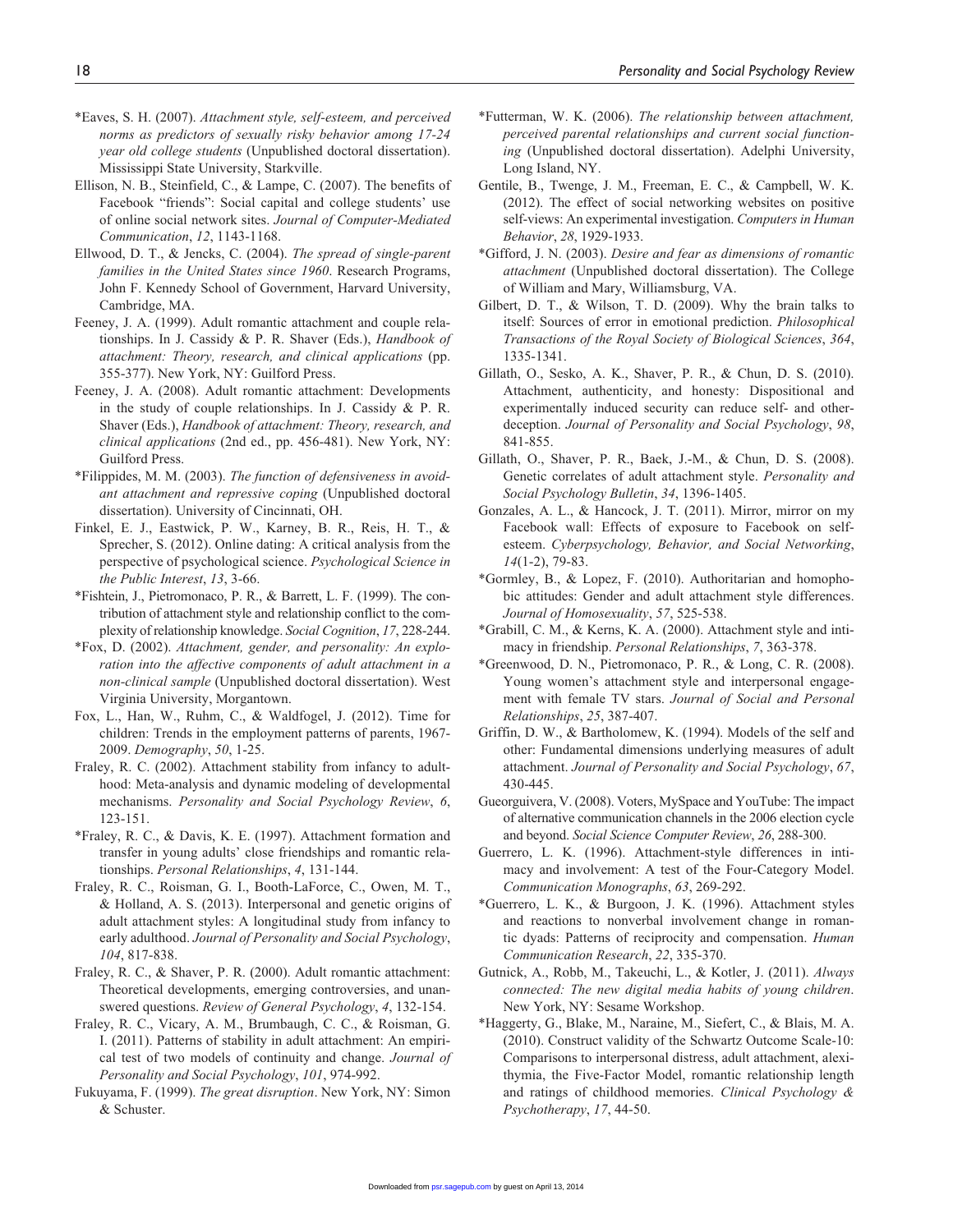- \*Eaves, S. H. (2007). *Attachment style, self-esteem, and perceived norms as predictors of sexually risky behavior among 17-24 year old college students* (Unpublished doctoral dissertation). Mississippi State University, Starkville.
- Ellison, N. B., Steinfield, C., & Lampe, C. (2007). The benefits of Facebook "friends": Social capital and college students' use of online social network sites. *Journal of Computer-Mediated Communication*, *12*, 1143-1168.
- Ellwood, D. T., & Jencks, C. (2004). *The spread of single-parent families in the United States since 1960*. Research Programs, John F. Kennedy School of Government, Harvard University, Cambridge, MA.
- Feeney, J. A. (1999). Adult romantic attachment and couple relationships. In J. Cassidy & P. R. Shaver (Eds.), *Handbook of attachment: Theory, research, and clinical applications* (pp. 355-377). New York, NY: Guilford Press.
- Feeney, J. A. (2008). Adult romantic attachment: Developments in the study of couple relationships. In J. Cassidy & P. R. Shaver (Eds.), *Handbook of attachment: Theory, research, and clinical applications* (2nd ed., pp. 456-481). New York, NY: Guilford Press.
- \*Filippides, M. M. (2003). *The function of defensiveness in avoidant attachment and repressive coping* (Unpublished doctoral dissertation). University of Cincinnati, OH.
- Finkel, E. J., Eastwick, P. W., Karney, B. R., Reis, H. T., & Sprecher, S. (2012). Online dating: A critical analysis from the perspective of psychological science. *Psychological Science in the Public Interest*, *13*, 3-66.
- \*Fishtein, J., Pietromonaco, P. R., & Barrett, L. F. (1999). The contribution of attachment style and relationship conflict to the complexity of relationship knowledge. *Social Cognition*, *17*, 228-244.
- \*Fox, D. (2002). *Attachment, gender, and personality: An exploration into the affective components of adult attachment in a non-clinical sample* (Unpublished doctoral dissertation). West Virginia University, Morgantown.
- Fox, L., Han, W., Ruhm, C., & Waldfogel, J. (2012). Time for children: Trends in the employment patterns of parents, 1967- 2009. *Demography*, *50*, 1-25.
- Fraley, R. C. (2002). Attachment stability from infancy to adulthood: Meta-analysis and dynamic modeling of developmental mechanisms. *Personality and Social Psychology Review*, *6*, 123-151.
- \*Fraley, R. C., & Davis, K. E. (1997). Attachment formation and transfer in young adults' close friendships and romantic relationships. *Personal Relationships*, *4*, 131-144.
- Fraley, R. C., Roisman, G. I., Booth-LaForce, C., Owen, M. T., & Holland, A. S. (2013). Interpersonal and genetic origins of adult attachment styles: A longitudinal study from infancy to early adulthood. *Journal of Personality and Social Psychology*, *104*, 817-838.
- Fraley, R. C., & Shaver, P. R. (2000). Adult romantic attachment: Theoretical developments, emerging controversies, and unanswered questions. *Review of General Psychology*, *4*, 132-154.
- Fraley, R. C., Vicary, A. M., Brumbaugh, C. C., & Roisman, G. I. (2011). Patterns of stability in adult attachment: An empirical test of two models of continuity and change. *Journal of Personality and Social Psychology*, *101*, 974-992.
- Fukuyama, F. (1999). *The great disruption*. New York, NY: Simon & Schuster.
- \*Futterman, W. K. (2006). *The relationship between attachment, perceived parental relationships and current social functioning* (Unpublished doctoral dissertation). Adelphi University, Long Island, NY.
- Gentile, B., Twenge, J. M., Freeman, E. C., & Campbell, W. K. (2012). The effect of social networking websites on positive self-views: An experimental investigation. *Computers in Human Behavior*, *28*, 1929-1933.
- \*Gifford, J. N. (2003). *Desire and fear as dimensions of romantic attachment* (Unpublished doctoral dissertation). The College of William and Mary, Williamsburg, VA.
- Gilbert, D. T., & Wilson, T. D. (2009). Why the brain talks to itself: Sources of error in emotional prediction. *Philosophical Transactions of the Royal Society of Biological Sciences*, *364*, 1335-1341.
- Gillath, O., Sesko, A. K., Shaver, P. R., & Chun, D. S. (2010). Attachment, authenticity, and honesty: Dispositional and experimentally induced security can reduce self- and otherdeception. *Journal of Personality and Social Psychology*, *98*, 841-855.
- Gillath, O., Shaver, P. R., Baek, J.-M., & Chun, D. S. (2008). Genetic correlates of adult attachment style. *Personality and Social Psychology Bulletin*, *34*, 1396-1405.
- Gonzales, A. L., & Hancock, J. T. (2011). Mirror, mirror on my Facebook wall: Effects of exposure to Facebook on selfesteem. *Cyberpsychology, Behavior, and Social Networking*, *14*(1-2), 79-83.
- \*Gormley, B., & Lopez, F. (2010). Authoritarian and homophobic attitudes: Gender and adult attachment style differences. *Journal of Homosexuality*, *57*, 525-538.
- \*Grabill, C. M., & Kerns, K. A. (2000). Attachment style and intimacy in friendship. *Personal Relationships*, *7*, 363-378.
- \*Greenwood, D. N., Pietromonaco, P. R., & Long, C. R. (2008). Young women's attachment style and interpersonal engagement with female TV stars. *Journal of Social and Personal Relationships*, *25*, 387-407.
- Griffin, D. W., & Bartholomew, K. (1994). Models of the self and other: Fundamental dimensions underlying measures of adult attachment. *Journal of Personality and Social Psychology*, *67*, 430-445.
- Gueorguivera, V. (2008). Voters, MySpace and YouTube: The impact of alternative communication channels in the 2006 election cycle and beyond. *Social Science Computer Review*, *26*, 288-300.
- Guerrero, L. K. (1996). Attachment-style differences in intimacy and involvement: A test of the Four-Category Model. *Communication Monographs*, *63*, 269-292.
- \*Guerrero, L. K., & Burgoon, J. K. (1996). Attachment styles and reactions to nonverbal involvement change in romantic dyads: Patterns of reciprocity and compensation. *Human Communication Research*, *22*, 335-370.
- Gutnick, A., Robb, M., Takeuchi, L., & Kotler, J. (2011). *Always connected: The new digital media habits of young children*. New York, NY: Sesame Workshop.
- \*Haggerty, G., Blake, M., Naraine, M., Siefert, C., & Blais, M. A. (2010). Construct validity of the Schwartz Outcome Scale-10: Comparisons to interpersonal distress, adult attachment, alexithymia, the Five-Factor Model, romantic relationship length and ratings of childhood memories. *Clinical Psychology & Psychotherapy*, *17*, 44-50.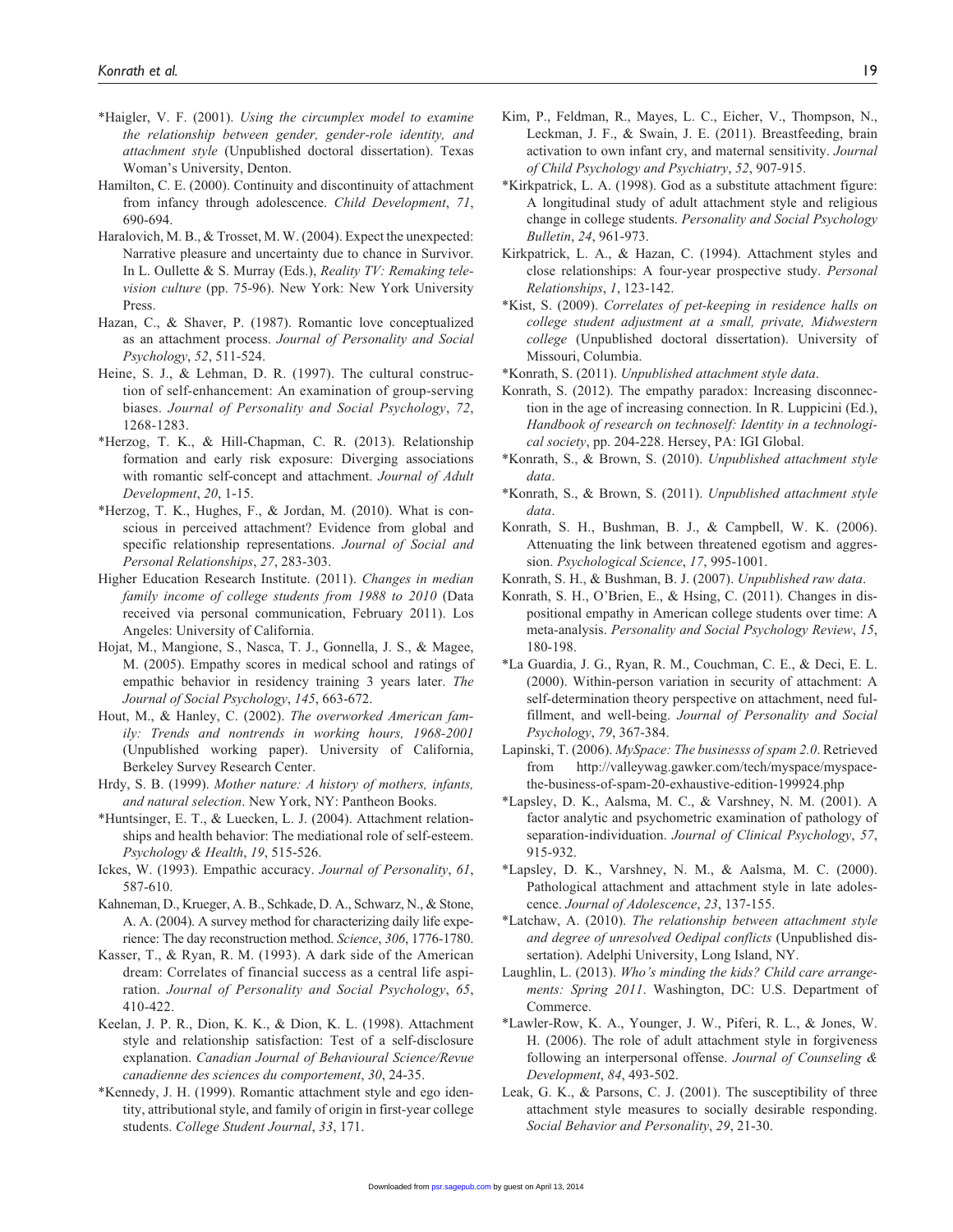- \*Haigler, V. F. (2001). *Using the circumplex model to examine the relationship between gender, gender-role identity, and attachment style* (Unpublished doctoral dissertation). Texas Woman's University, Denton.
- Hamilton, C. E. (2000). Continuity and discontinuity of attachment from infancy through adolescence. *Child Development*, *71*, 690-694.
- Haralovich, M. B., & Trosset, M. W. (2004). Expect the unexpected: Narrative pleasure and uncertainty due to chance in Survivor. In L. Oullette & S. Murray (Eds.), *Reality TV: Remaking television culture* (pp. 75-96). New York: New York University Press.
- Hazan, C., & Shaver, P. (1987). Romantic love conceptualized as an attachment process. *Journal of Personality and Social Psychology*, *52*, 511-524.
- Heine, S. J., & Lehman, D. R. (1997). The cultural construction of self-enhancement: An examination of group-serving biases. *Journal of Personality and Social Psychology*, *72*, 1268-1283.
- \*Herzog, T. K., & Hill-Chapman, C. R. (2013). Relationship formation and early risk exposure: Diverging associations with romantic self-concept and attachment. *Journal of Adult Development*, *20*, 1-15.
- \*Herzog, T. K., Hughes, F., & Jordan, M. (2010). What is conscious in perceived attachment? Evidence from global and specific relationship representations. *Journal of Social and Personal Relationships*, *27*, 283-303.
- Higher Education Research Institute. (2011). *Changes in median family income of college students from 1988 to 2010* (Data received via personal communication, February 2011). Los Angeles: University of California.
- Hojat, M., Mangione, S., Nasca, T. J., Gonnella, J. S., & Magee, M. (2005). Empathy scores in medical school and ratings of empathic behavior in residency training 3 years later. *The Journal of Social Psychology*, *145*, 663-672.
- Hout, M., & Hanley, C. (2002). *The overworked American family: Trends and nontrends in working hours, 1968-2001* (Unpublished working paper). University of California, Berkeley Survey Research Center.
- Hrdy, S. B. (1999). *Mother nature: A history of mothers, infants, and natural selection*. New York, NY: Pantheon Books.
- \*Huntsinger, E. T., & Luecken, L. J. (2004). Attachment relationships and health behavior: The mediational role of self-esteem. *Psychology & Health*, *19*, 515-526.
- Ickes, W. (1993). Empathic accuracy. *Journal of Personality*, *61*, 587-610.
- Kahneman, D., Krueger, A. B., Schkade, D. A., Schwarz, N., & Stone, A. A. (2004). A survey method for characterizing daily life experience: The day reconstruction method. *Science*, *306*, 1776-1780.
- Kasser, T., & Ryan, R. M. (1993). A dark side of the American dream: Correlates of financial success as a central life aspiration. *Journal of Personality and Social Psychology*, *65*, 410-422.
- Keelan, J. P. R., Dion, K. K., & Dion, K. L. (1998). Attachment style and relationship satisfaction: Test of a self-disclosure explanation. *Canadian Journal of Behavioural Science/Revue canadienne des sciences du comportement*, *30*, 24-35.
- \*Kennedy, J. H. (1999). Romantic attachment style and ego identity, attributional style, and family of origin in first-year college students. *College Student Journal*, *33*, 171.
- Kim, P., Feldman, R., Mayes, L. C., Eicher, V., Thompson, N., Leckman, J. F., & Swain, J. E. (2011). Breastfeeding, brain activation to own infant cry, and maternal sensitivity. *Journal of Child Psychology and Psychiatry*, *52*, 907-915.
- \*Kirkpatrick, L. A. (1998). God as a substitute attachment figure: A longitudinal study of adult attachment style and religious change in college students. *Personality and Social Psychology Bulletin*, *24*, 961-973.
- Kirkpatrick, L. A., & Hazan, C. (1994). Attachment styles and close relationships: A four-year prospective study. *Personal Relationships*, *1*, 123-142.
- \*Kist, S. (2009). *Correlates of pet-keeping in residence halls on college student adjustment at a small, private, Midwestern college* (Unpublished doctoral dissertation). University of Missouri, Columbia.
- \*Konrath, S. (2011). *Unpublished attachment style data*.
- Konrath, S. (2012). The empathy paradox: Increasing disconnection in the age of increasing connection. In R. Luppicini (Ed.), *Handbook of research on technoself: Identity in a technological society*, pp. 204-228. Hersey, PA: IGI Global.
- \*Konrath, S., & Brown, S. (2010). *Unpublished attachment style data*.
- \*Konrath, S., & Brown, S. (2011). *Unpublished attachment style data*.
- Konrath, S. H., Bushman, B. J., & Campbell, W. K. (2006). Attenuating the link between threatened egotism and aggression. *Psychological Science*, *17*, 995-1001.
- Konrath, S. H., & Bushman, B. J. (2007). *Unpublished raw data*.
- Konrath, S. H., O'Brien, E., & Hsing, C. (2011). Changes in dispositional empathy in American college students over time: A meta-analysis. *Personality and Social Psychology Review*, *15*, 180-198.
- \*La Guardia, J. G., Ryan, R. M., Couchman, C. E., & Deci, E. L. (2000). Within-person variation in security of attachment: A self-determination theory perspective on attachment, need fulfillment, and well-being. *Journal of Personality and Social Psychology*, *79*, 367-384.
- Lapinski, T. (2006). *MySpace: The businesss of spam 2.0*. Retrieved from [http://valleywag.gawker.com/tech/myspace/myspace](http://valleywag.gawker.com/tech/myspace/myspace-the-business-of-spam-20-exhaustive-edition-199924.php)[the-business-of-spam-20-exhaustive-edition-199924.php](http://valleywag.gawker.com/tech/myspace/myspace-the-business-of-spam-20-exhaustive-edition-199924.php)
- \*Lapsley, D. K., Aalsma, M. C., & Varshney, N. M. (2001). A factor analytic and psychometric examination of pathology of separation-individuation. *Journal of Clinical Psychology*, *57*, 915-932.
- \*Lapsley, D. K., Varshney, N. M., & Aalsma, M. C. (2000). Pathological attachment and attachment style in late adolescence. *Journal of Adolescence*, *23*, 137-155.
- \*Latchaw, A. (2010). *The relationship between attachment style and degree of unresolved Oedipal conflicts* (Unpublished dissertation). Adelphi University, Long Island, NY.
- Laughlin, L. (2013). *Who's minding the kids? Child care arrangements: Spring 2011*. Washington, DC: U.S. Department of Commerce.
- \*Lawler-Row, K. A., Younger, J. W., Piferi, R. L., & Jones, W. H. (2006). The role of adult attachment style in forgiveness following an interpersonal offense. *Journal of Counseling & Development*, *84*, 493-502.
- Leak, G. K., & Parsons, C. J. (2001). The susceptibility of three attachment style measures to socially desirable responding. *S[ocial Behavio](http://psr.sagepub.com/)r and Personality*, *29*, 21-30.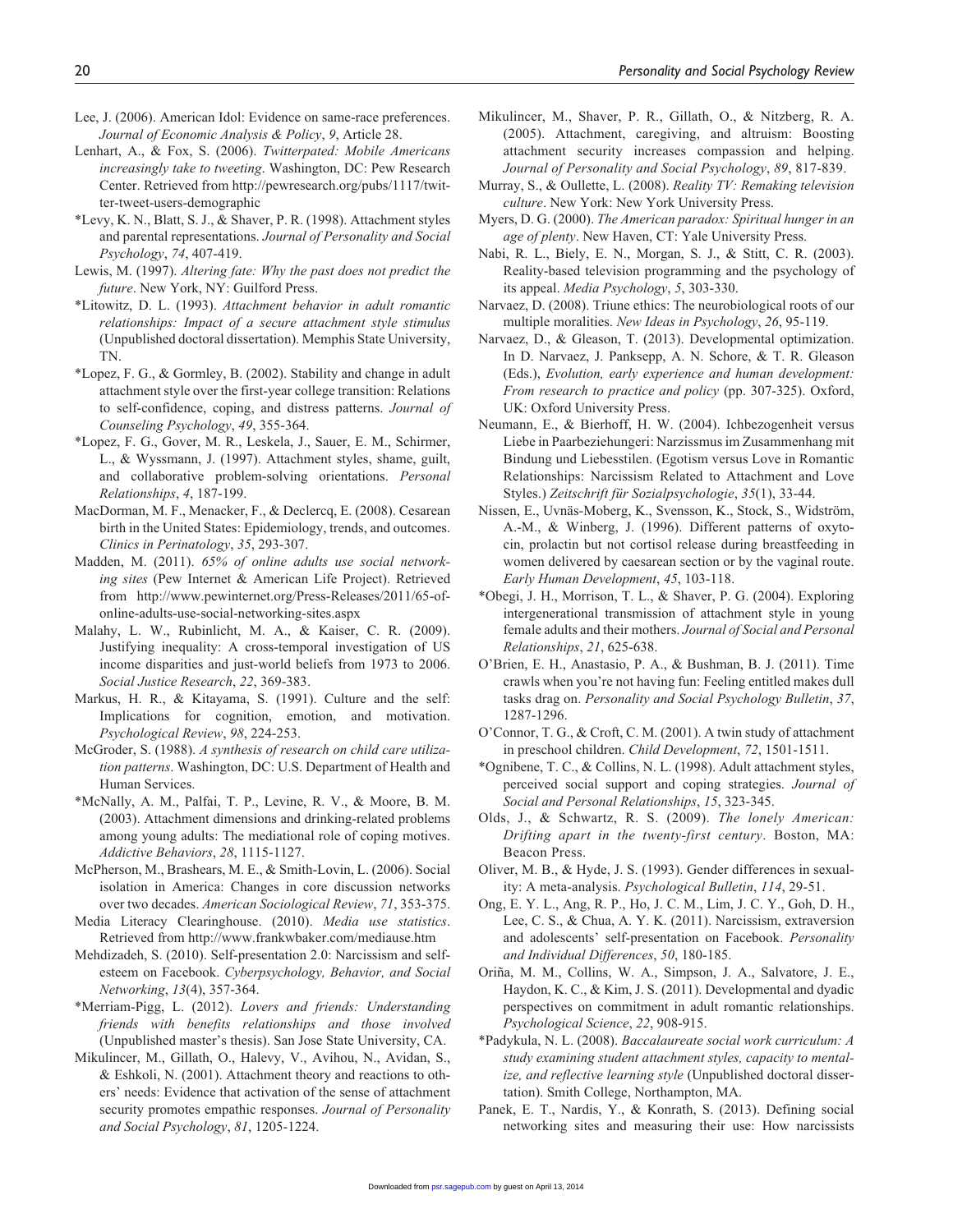- Lee, J. (2006). American Idol: Evidence on same-race preferences. *Journal of Economic Analysis & Policy*, *9*, Article 28.
- Lenhart, A., & Fox, S. (2006). *Twitterpated: Mobile Americans increasingly take to tweeting*. Washington, DC: Pew Research Center. Retrieved from [http://pewresearch.org/pubs/1117/twit](http://pewresearch.org/pubs/1117/twitter-tweet-users-demographic)[ter-tweet-users-demographic](http://pewresearch.org/pubs/1117/twitter-tweet-users-demographic)
- \*Levy, K. N., Blatt, S. J., & Shaver, P. R. (1998). Attachment styles and parental representations. *Journal of Personality and Social Psychology*, *74*, 407-419.
- Lewis, M. (1997). *Altering fate: Why the past does not predict the future*. New York, NY: Guilford Press.
- \*Litowitz, D. L. (1993). *Attachment behavior in adult romantic relationships: Impact of a secure attachment style stimulus* (Unpublished doctoral dissertation). Memphis State University, TN.
- \*Lopez, F. G., & Gormley, B. (2002). Stability and change in adult attachment style over the first-year college transition: Relations to self-confidence, coping, and distress patterns. *Journal of Counseling Psychology*, *49*, 355-364.
- \*Lopez, F. G., Gover, M. R., Leskela, J., Sauer, E. M., Schirmer, L., & Wyssmann, J. (1997). Attachment styles, shame, guilt, and collaborative problem-solving orientations. *Personal Relationships*, *4*, 187-199.
- MacDorman, M. F., Menacker, F., & Declercq, E. (2008). Cesarean birth in the United States: Epidemiology, trends, and outcomes. *Clinics in Perinatology*, *35*, 293-307.
- Madden, M. (2011). *65% of online adults use social networking sites* (Pew Internet & American Life Project). Retrieved from [http://www.pewinternet.org/Press-Releases/2011/65-of](http://www.pewinternet.org/Press-Releases/2011/65-of-online-adults-use-social-networking-sites.aspx)[online-adults-use-social-networking-sites.aspx](http://www.pewinternet.org/Press-Releases/2011/65-of-online-adults-use-social-networking-sites.aspx)
- Malahy, L. W., Rubinlicht, M. A., & Kaiser, C. R. (2009). Justifying inequality: A cross-temporal investigation of US income disparities and just-world beliefs from 1973 to 2006. *Social Justice Research*, *22*, 369-383.
- Markus, H. R., & Kitayama, S. (1991). Culture and the self: Implications for cognition, emotion, and motivation. *Psychological Review*, *98*, 224-253.
- McGroder, S. (1988). *A synthesis of research on child care utilization patterns*. Washington, DC: U.S. Department of Health and Human Services.
- \*McNally, A. M., Palfai, T. P., Levine, R. V., & Moore, B. M. (2003). Attachment dimensions and drinking-related problems among young adults: The mediational role of coping motives. *Addictive Behaviors*, *28*, 1115-1127.
- McPherson, M., Brashears, M. E., & Smith-Lovin, L. (2006). Social isolation in America: Changes in core discussion networks over two decades. *American Sociological Review*, *71*, 353-375.
- Media Literacy Clearinghouse. (2010). *Media use statistics*. Retrieved from <http://www.frankwbaker.com/mediause.htm>
- Mehdizadeh, S. (2010). Self-presentation 2.0: Narcissism and selfesteem on Facebook. *Cyberpsychology, Behavior, and Social Networking*, *13*(4), 357-364.
- \*Merriam-Pigg, L. (2012). *Lovers and friends: Understanding friends with benefits relationships and those involved* (Unpublished master's thesis). San Jose State University, CA.
- Mikulincer, M., Gillath, O., Halevy, V., Avihou, N., Avidan, S., & Eshkoli, N. (2001). Attachment theory and reactions to others' needs: Evidence that activation of the sense of attachment security promotes empathic responses. *Journal of Personality and Social Psychology*, *81*, 1205-1224.
- Mikulincer, M., Shaver, P. R., Gillath, O., & Nitzberg, R. A. (2005). Attachment, caregiving, and altruism: Boosting attachment security increases compassion and helping. *Journal of Personality and Social Psychology*, *89*, 817-839.
- Murray, S., & Oullette, L. (2008). *Reality TV: Remaking television culture*. New York: New York University Press.
- Myers, D. G. (2000). *The American paradox: Spiritual hunger in an age of plenty*. New Haven, CT: Yale University Press.
- Nabi, R. L., Biely, E. N., Morgan, S. J., & Stitt, C. R. (2003). Reality-based television programming and the psychology of its appeal. *Media Psychology*, *5*, 303-330.
- Narvaez, D. (2008). Triune ethics: The neurobiological roots of our multiple moralities. *New Ideas in Psychology*, *26*, 95-119.
- Narvaez, D., & Gleason, T. (2013). Developmental optimization. In D. Narvaez, J. Panksepp, A. N. Schore, & T. R. Gleason (Eds.), *Evolution, early experience and human development: From research to practice and policy* (pp. 307-325). Oxford, UK: Oxford University Press.
- Neumann, E., & Bierhoff, H. W. (2004). Ichbezogenheit versus Liebe in Paarbeziehungeri: Narzissmus im Zusammenhang mit Bindung und Liebesstilen. (Egotism versus Love in Romantic Relationships: Narcissism Related to Attachment and Love Styles.) *Zeitschrift für Sozialpsychologie*, *35*(1), 33-44.
- Nissen, E., Uvnäs-Moberg, K., Svensson, K., Stock, S., Widström, A.-M., & Winberg, J. (1996). Different patterns of oxytocin, prolactin but not cortisol release during breastfeeding in women delivered by caesarean section or by the vaginal route. *Early Human Development*, *45*, 103-118.
- \*Obegi, J. H., Morrison, T. L., & Shaver, P. G. (2004). Exploring intergenerational transmission of attachment style in young female adults and their mothers. *Journal of Social and Personal Relationships*, *21*, 625-638.
- O'Brien, E. H., Anastasio, P. A., & Bushman, B. J. (2011). Time crawls when you're not having fun: Feeling entitled makes dull tasks drag on. *Personality and Social Psychology Bulletin*, *37*, 1287-1296.
- O'Connor, T. G., & Croft, C. M. (2001). A twin study of attachment in preschool children. *Child Development*, *72*, 1501-1511.
- \*Ognibene, T. C., & Collins, N. L. (1998). Adult attachment styles, perceived social support and coping strategies. *Journal of Social and Personal Relationships*, *15*, 323-345.
- Olds, J., & Schwartz, R. S. (2009). *The lonely American: Drifting apart in the twenty-first century*. Boston, MA: Beacon Press.
- Oliver, M. B., & Hyde, J. S. (1993). Gender differences in sexuality: A meta-analysis. *Psychological Bulletin*, *114*, 29-51.
- Ong, E. Y. L., Ang, R. P., Ho, J. C. M., Lim, J. C. Y., Goh, D. H., Lee, C. S., & Chua, A. Y. K. (2011). Narcissism, extraversion and adolescents' self-presentation on Facebook. *Personality and Individual Differences*, *50*, 180-185.
- Oriña, M. M., Collins, W. A., Simpson, J. A., Salvatore, J. E., Haydon, K. C., & Kim, J. S. (2011). Developmental and dyadic perspectives on commitment in adult romantic relationships. *Psychological Science*, *22*, 908-915.
- \*Padykula, N. L. (2008). *Baccalaureate social work curriculum: A study examining student attachment styles, capacity to mentalize, and reflective learning style* (Unpublished doctoral dissertation). Smith College, Northampton, MA.
- Panek, E. T., Nardis, Y., & Konrath, S. (2013). Defining social netwo[rking sites a](http://psr.sagepub.com/)nd measuring their use: How narcissists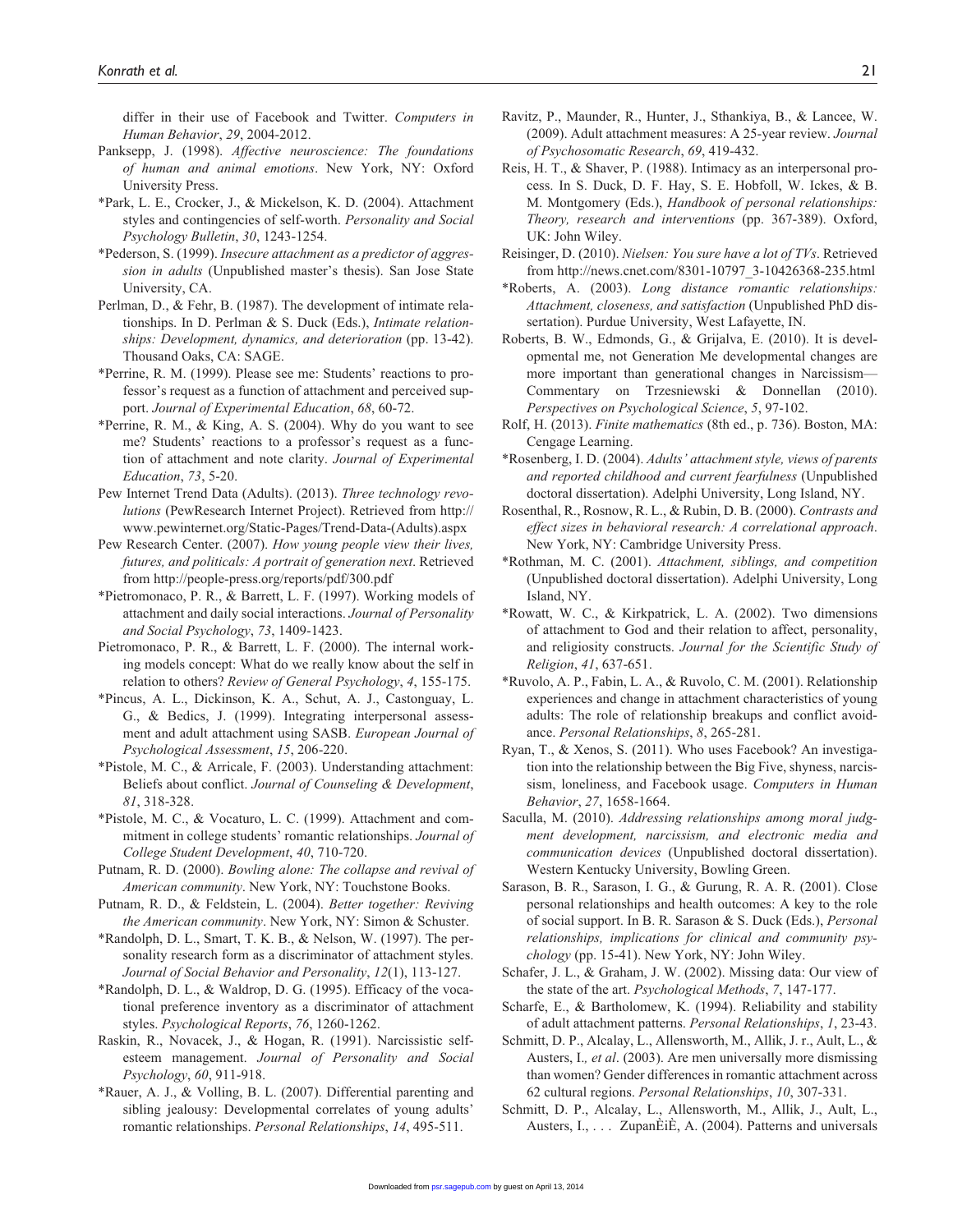differ in their use of Facebook and Twitter. *Computers in Human Behavior*, *29*, 2004-2012.

- Panksepp, J. (1998). *Affective neuroscience: The foundations of human and animal emotions*. New York, NY: Oxford University Press.
- \*Park, L. E., Crocker, J., & Mickelson, K. D. (2004). Attachment styles and contingencies of self-worth. *Personality and Social Psychology Bulletin*, *30*, 1243-1254.
- \*Pederson, S. (1999). *Insecure attachment as a predictor of aggression in adults* (Unpublished master's thesis). San Jose State University, CA.
- Perlman, D., & Fehr, B. (1987). The development of intimate relationships. In D. Perlman & S. Duck (Eds.), *Intimate relationships: Development, dynamics, and deterioration* (pp. 13-42). Thousand Oaks, CA: SAGE.
- \*Perrine, R. M. (1999). Please see me: Students' reactions to professor's request as a function of attachment and perceived support. *Journal of Experimental Education*, *68*, 60-72.
- \*Perrine, R. M., & King, A. S. (2004). Why do you want to see me? Students' reactions to a professor's request as a function of attachment and note clarity. *Journal of Experimental Education*, *73*, 5-20.
- Pew Internet Trend Data (Adults). (2013). *Three technology revolutions* (PewResearch Internet Project). Retrieved from [http://](http://www.pewinternet.org/Static-Pages/Trend-Data-(Adults).aspx) [www.pewinternet.org/Static-Pages/Trend-Data-\(Adults\).aspx](http://www.pewinternet.org/Static-Pages/Trend-Data-(Adults).aspx)
- Pew Research Center. (2007). *How young people view their lives, futures, and politicals: A portrait of generation next*. Retrieved from <http://people-press.org/reports/pdf/300.pdf>
- \*Pietromonaco, P. R., & Barrett, L. F. (1997). Working models of attachment and daily social interactions. *Journal of Personality and Social Psychology*, *73*, 1409-1423.
- Pietromonaco, P. R., & Barrett, L. F. (2000). The internal working models concept: What do we really know about the self in relation to others? *Review of General Psychology*, *4*, 155-175.
- \*Pincus, A. L., Dickinson, K. A., Schut, A. J., Castonguay, L. G., & Bedics, J. (1999). Integrating interpersonal assessment and adult attachment using SASB. *European Journal of Psychological Assessment*, *15*, 206-220.
- \*Pistole, M. C., & Arricale, F. (2003). Understanding attachment: Beliefs about conflict. *Journal of Counseling & Development*, *81*, 318-328.
- \*Pistole, M. C., & Vocaturo, L. C. (1999). Attachment and commitment in college students' romantic relationships. *Journal of College Student Development*, *40*, 710-720.
- Putnam, R. D. (2000). *Bowling alone: The collapse and revival of American community*. New York, NY: Touchstone Books.
- Putnam, R. D., & Feldstein, L. (2004). *Better together: Reviving the American community*. New York, NY: Simon & Schuster.
- \*Randolph, D. L., Smart, T. K. B., & Nelson, W. (1997). The personality research form as a discriminator of attachment styles. *Journal of Social Behavior and Personality*, *12*(1), 113-127.
- \*Randolph, D. L., & Waldrop, D. G. (1995). Efficacy of the vocational preference inventory as a discriminator of attachment styles. *Psychological Reports*, *76*, 1260-1262.
- Raskin, R., Novacek, J., & Hogan, R. (1991). Narcissistic selfesteem management. *Journal of Personality and Social Psychology*, *60*, 911-918.
- \*Rauer, A. J., & Volling, B. L. (2007). Differential parenting and sibling jealousy: Developmental correlates of young adults' romantic relationships. *Personal Relationships*, *14*, 495-511.
- Ravitz, P., Maunder, R., Hunter, J., Sthankiya, B., & Lancee, W. (2009). Adult attachment measures: A 25-year review. *Journal of Psychosomatic Research*, *69*, 419-432.
- Reis, H. T., & Shaver, P. (1988). Intimacy as an interpersonal process. In S. Duck, D. F. Hay, S. E. Hobfoll, W. Ickes, & B. M. Montgomery (Eds.), *Handbook of personal relationships: Theory, research and interventions* (pp. 367-389). Oxford, UK: John Wiley.
- Reisinger, D. (2010). *Nielsen: You sure have a lot of TVs*. Retrieved from [http://news.cnet.com/8301-10797\\_3-10426368-235.html](http://news.cnet.com/8301-10797_3-10426368-235.html)
- \*Roberts, A. (2003). *Long distance romantic relationships: Attachment, closeness, and satisfaction* (Unpublished PhD dissertation). Purdue University, West Lafayette, IN.
- Roberts, B. W., Edmonds, G., & Grijalva, E. (2010). It is developmental me, not Generation Me developmental changes are more important than generational changes in Narcissism— Commentary on Trzesniewski & Donnellan (2010). *Perspectives on Psychological Science*, *5*, 97-102.
- Rolf, H. (2013). *Finite mathematics* (8th ed., p. 736). Boston, MA: Cengage Learning.
- \*Rosenberg, I. D. (2004). *Adults' attachment style, views of parents and reported childhood and current fearfulness* (Unpublished doctoral dissertation). Adelphi University, Long Island, NY.
- Rosenthal, R., Rosnow, R. L., & Rubin, D. B. (2000). *Contrasts and effect sizes in behavioral research: A correlational approach*. New York, NY: Cambridge University Press.
- \*Rothman, M. C. (2001). *Attachment, siblings, and competition* (Unpublished doctoral dissertation). Adelphi University, Long Island, NY.
- \*Rowatt, W. C., & Kirkpatrick, L. A. (2002). Two dimensions of attachment to God and their relation to affect, personality, and religiosity constructs. *Journal for the Scientific Study of Religion*, *41*, 637-651.
- \*Ruvolo, A. P., Fabin, L. A., & Ruvolo, C. M. (2001). Relationship experiences and change in attachment characteristics of young adults: The role of relationship breakups and conflict avoidance. *Personal Relationships*, *8*, 265-281.
- Ryan, T., & Xenos, S. (2011). Who uses Facebook? An investigation into the relationship between the Big Five, shyness, narcissism, loneliness, and Facebook usage. *Computers in Human Behavior*, *27*, 1658-1664.
- Saculla, M. (2010). *Addressing relationships among moral judgment development, narcissism, and electronic media and communication devices* (Unpublished doctoral dissertation). Western Kentucky University, Bowling Green.
- Sarason, B. R., Sarason, I. G., & Gurung, R. A. R. (2001). Close personal relationships and health outcomes: A key to the role of social support. In B. R. Sarason & S. Duck (Eds.), *Personal relationships, implications for clinical and community psychology* (pp. 15-41). New York, NY: John Wiley.
- Schafer, J. L., & Graham, J. W. (2002). Missing data: Our view of the state of the art. *Psychological Methods*, *7*, 147-177.
- Scharfe, E., & Bartholomew, K. (1994). Reliability and stability of adult attachment patterns. *Personal Relationships*, *1*, 23-43.
- Schmitt, D. P., Alcalay, L., Allensworth, M., Allik, J. r., Ault, L., & Austers, I.*, et al*. (2003). Are men universally more dismissing than women? Gender differences in romantic attachment across 62 cultural regions. *Personal Relationships*, *10*, 307-331.
- Schmitt, D. P., Alcalay, L., Allensworth, M., Allik, J., Ault, L., A[usters, I., . .](http://psr.sagepub.com/) . ZupanÈiÈ, A. (2004). Patterns and universals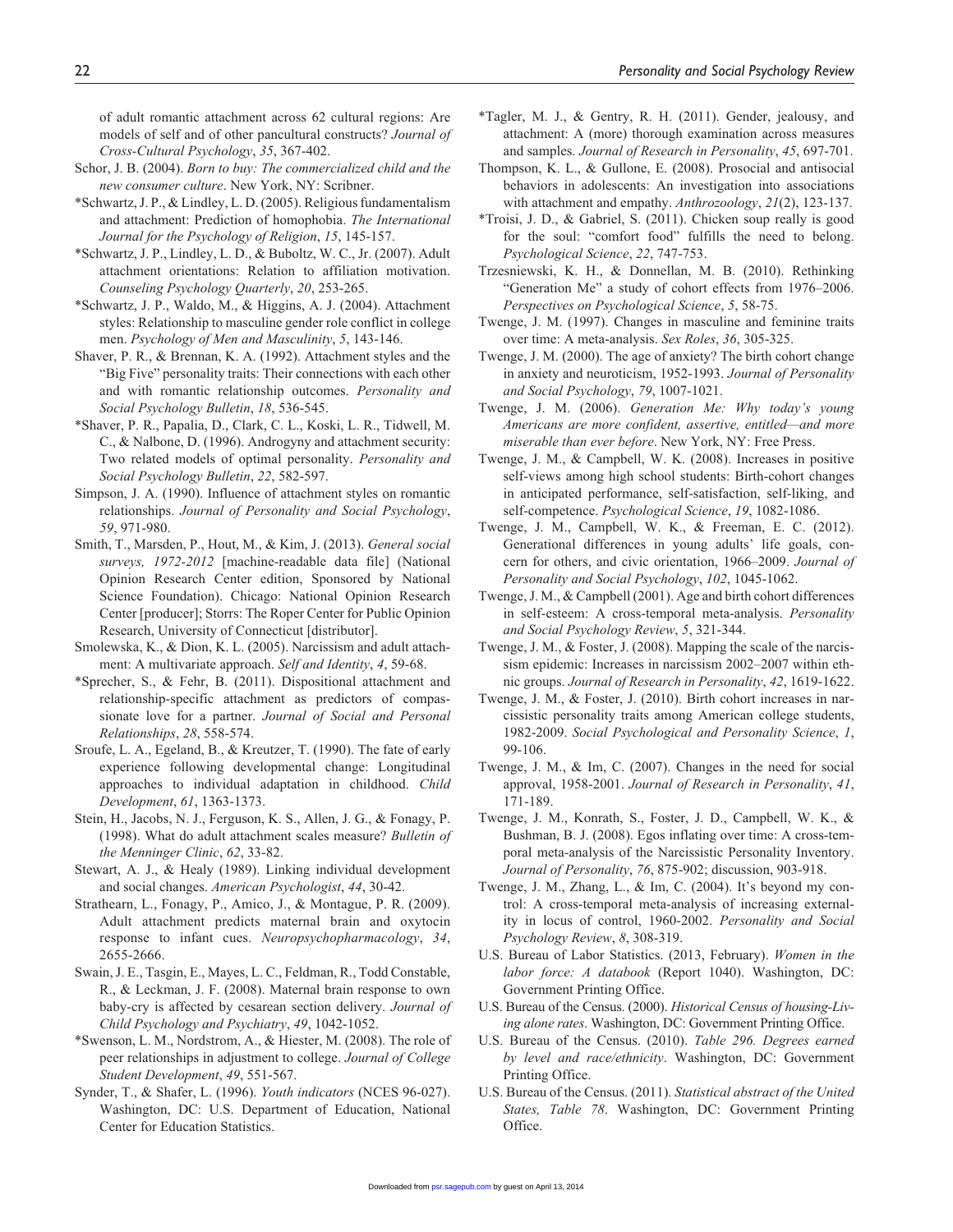of adult romantic attachment across 62 cultural regions: Are models of self and of other pancultural constructs? *Journal of Cross-Cultural Psychology*, *35*, 367-402.

- Schor, J. B. (2004). *Born to buy: The commercialized child and the new consumer culture*. New York, NY: Scribner.
- \*Schwartz, J. P., & Lindley, L. D. (2005). Religious fundamentalism and attachment: Prediction of homophobia. *The International Journal for the Psychology of Religion*, *15*, 145-157.
- \*Schwartz, J. P., Lindley, L. D., & Buboltz, W. C., Jr. (2007). Adult attachment orientations: Relation to affiliation motivation. *Counseling Psychology Quarterly*, *20*, 253-265.
- \*Schwartz, J. P., Waldo, M., & Higgins, A. J. (2004). Attachment styles: Relationship to masculine gender role conflict in college men. *Psychology of Men and Masculinity*, *5*, 143-146.
- Shaver, P. R., & Brennan, K. A. (1992). Attachment styles and the "Big Five" personality traits: Their connections with each other and with romantic relationship outcomes. *Personality and Social Psychology Bulletin*, *18*, 536-545.
- \*Shaver, P. R., Papalia, D., Clark, C. L., Koski, L. R., Tidwell, M. C., & Nalbone, D. (1996). Androgyny and attachment security: Two related models of optimal personality. *Personality and Social Psychology Bulletin*, *22*, 582-597.
- Simpson, J. A. (1990). Influence of attachment styles on romantic relationships. *Journal of Personality and Social Psychology*, *59*, 971-980.
- Smith, T., Marsden, P., Hout, M., & Kim, J. (2013). *General social surveys, 1972-2012* [machine-readable data file] (National Opinion Research Center edition, Sponsored by National Science Foundation). Chicago: National Opinion Research Center [producer]; Storrs: The Roper Center for Public Opinion Research, University of Connecticut [distributor].
- Smolewska, K., & Dion, K. L. (2005). Narcissism and adult attachment: A multivariate approach. *Self and Identity*, *4*, 59-68.
- \*Sprecher, S., & Fehr, B. (2011). Dispositional attachment and relationship-specific attachment as predictors of compassionate love for a partner. *Journal of Social and Personal Relationships*, *28*, 558-574.
- Sroufe, L. A., Egeland, B., & Kreutzer, T. (1990). The fate of early experience following developmental change: Longitudinal approaches to individual adaptation in childhood. *Child Development*, *61*, 1363-1373.
- Stein, H., Jacobs, N. J., Ferguson, K. S., Allen, J. G., & Fonagy, P. (1998). What do adult attachment scales measure? *Bulletin of the Menninger Clinic*, *62*, 33-82.
- Stewart, A. J., & Healy (1989). Linking individual development and social changes. *American Psychologist*, *44*, 30-42.
- Strathearn, L., Fonagy, P., Amico, J., & Montague, P. R. (2009). Adult attachment predicts maternal brain and oxytocin response to infant cues. *Neuropsychopharmacology*, *34*, 2655-2666.
- Swain, J. E., Tasgin, E., Mayes, L. C., Feldman, R., Todd Constable, R., & Leckman, J. F. (2008). Maternal brain response to own baby-cry is affected by cesarean section delivery. *Journal of Child Psychology and Psychiatry*, *49*, 1042-1052.
- \*Swenson, L. M., Nordstrom, A., & Hiester, M. (2008). The role of peer relationships in adjustment to college. *Journal of College Student Development*, *49*, 551-567.
- Synder, T., & Shafer, L. (1996). *Youth indicators* (NCES 96-027). Washington, DC: U.S. Department of Education, National Center for Education Statistics.
- \*Tagler, M. J., & Gentry, R. H. (2011). Gender, jealousy, and attachment: A (more) thorough examination across measures and samples. *Journal of Research in Personality*, *45*, 697-701.
- Thompson, K. L., & Gullone, E. (2008). Prosocial and antisocial behaviors in adolescents: An investigation into associations with attachment and empathy. *Anthrozoology*, *21*(2), 123-137.
- \*Troisi, J. D., & Gabriel, S. (2011). Chicken soup really is good for the soul: "comfort food" fulfills the need to belong. *Psychological Science*, *22*, 747-753.
- Trzesniewski, K. H., & Donnellan, M. B. (2010). Rethinking "Generation Me" a study of cohort effects from 1976–2006. *Perspectives on Psychological Science*, *5*, 58-75.
- Twenge, J. M. (1997). Changes in masculine and feminine traits over time: A meta-analysis. *Sex Roles*, *36*, 305-325.
- Twenge, J. M. (2000). The age of anxiety? The birth cohort change in anxiety and neuroticism, 1952-1993. *Journal of Personality and Social Psychology*, *79*, 1007-1021.
- Twenge, J. M. (2006). *Generation Me: Why today's young Americans are more confident, assertive, entitled—and more miserable than ever before*. New York, NY: Free Press.
- Twenge, J. M., & Campbell, W. K. (2008). Increases in positive self-views among high school students: Birth-cohort changes in anticipated performance, self-satisfaction, self-liking, and self-competence. *Psychological Science*, *19*, 1082-1086.
- Twenge, J. M., Campbell, W. K., & Freeman, E. C. (2012). Generational differences in young adults' life goals, concern for others, and civic orientation, 1966–2009. *Journal of Personality and Social Psychology*, *102*, 1045-1062.
- Twenge, J. M., & Campbell (2001). Age and birth cohort differences in self-esteem: A cross-temporal meta-analysis. *Personality and Social Psychology Review*, *5*, 321-344.
- Twenge, J. M., & Foster, J. (2008). Mapping the scale of the narcissism epidemic: Increases in narcissism 2002–2007 within ethnic groups. *Journal of Research in Personality*, *42*, 1619-1622.
- Twenge, J. M., & Foster, J. (2010). Birth cohort increases in narcissistic personality traits among American college students, 1982-2009. *Social Psychological and Personality Science*, *1*, 99-106.
- Twenge, J. M., & Im, C. (2007). Changes in the need for social approval, 1958-2001. *Journal of Research in Personality*, *41*, 171-189.
- Twenge, J. M., Konrath, S., Foster, J. D., Campbell, W. K., & Bushman, B. J. (2008). Egos inflating over time: A cross-temporal meta-analysis of the Narcissistic Personality Inventory. *Journal of Personality*, *76*, 875-902; discussion, 903-918.
- Twenge, J. M., Zhang, L., & Im, C. (2004). It's beyond my control: A cross-temporal meta-analysis of increasing externality in locus of control, 1960-2002. *Personality and Social Psychology Review*, *8*, 308-319.
- U.S. Bureau of Labor Statistics. (2013, February). *Women in the labor force: A databook* (Report 1040). Washington, DC: Government Printing Office.
- U.S. Bureau of the Census. (2000). *Historical Census of housing-Living alone rates*. Washington, DC: Government Printing Office.
- U.S. Bureau of the Census. (2010). *Table 296. Degrees earned by level and race/ethnicity*. Washington, DC: Government Printing Office.
- U.S. Bureau of the Census. (2011). *Statistical abstract of the United States, Table 78*. Washington, DC: Government Printing Office[.](http://psr.sagepub.com/)